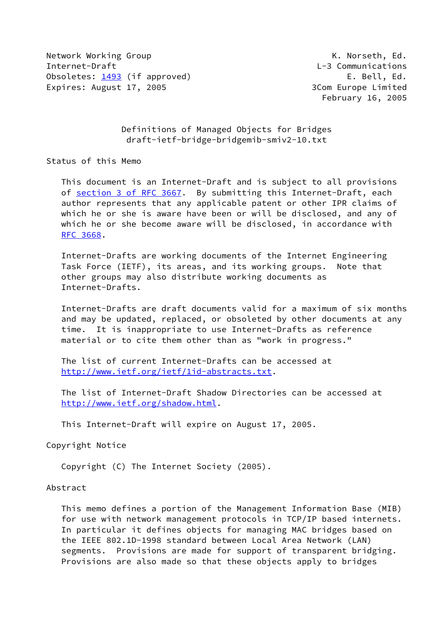Network Working Group Network Working Group Network Working Group Network All Allen K. Norseth, Ed. Internet-Draft L-3 Communications Obsoletes: [1493](https://datatracker.ietf.org/doc/pdf/rfc1493) (if approved) The Contract Contract Contract Contract Contract Contract Contract Contract Contract Contract Contract Contract Contract Contract Contract Contract Contract Contract Contract Contract Contract Expires: August 17, 2005 3Com Europe Limited

February 16, 2005

 Definitions of Managed Objects for Bridges draft-ietf-bridge-bridgemib-smiv2-10.txt

Status of this Memo

 This document is an Internet-Draft and is subject to all provisions of section [3 of RFC 3667.](https://datatracker.ietf.org/doc/pdf/rfc3667#section-3) By submitting this Internet-Draft, each author represents that any applicable patent or other IPR claims of which he or she is aware have been or will be disclosed, and any of which he or she become aware will be disclosed, in accordance with [RFC 3668](https://datatracker.ietf.org/doc/pdf/rfc3668).

 Internet-Drafts are working documents of the Internet Engineering Task Force (IETF), its areas, and its working groups. Note that other groups may also distribute working documents as Internet-Drafts.

 Internet-Drafts are draft documents valid for a maximum of six months and may be updated, replaced, or obsoleted by other documents at any time. It is inappropriate to use Internet-Drafts as reference material or to cite them other than as "work in progress."

 The list of current Internet-Drafts can be accessed at <http://www.ietf.org/ietf/1id-abstracts.txt>.

 The list of Internet-Draft Shadow Directories can be accessed at <http://www.ietf.org/shadow.html>.

This Internet-Draft will expire on August 17, 2005.

Copyright Notice

Copyright (C) The Internet Society (2005).

Abstract

 This memo defines a portion of the Management Information Base (MIB) for use with network management protocols in TCP/IP based internets. In particular it defines objects for managing MAC bridges based on the IEEE 802.1D-1998 standard between Local Area Network (LAN) segments. Provisions are made for support of transparent bridging. Provisions are also made so that these objects apply to bridges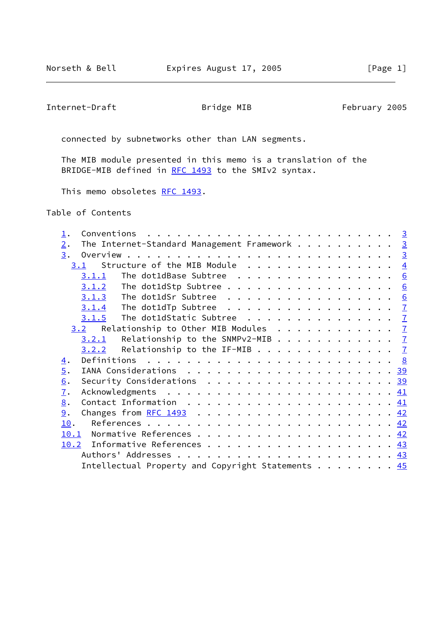Internet-Draft **Bridge MIB** February 2005

connected by subnetworks other than LAN segments.

 The MIB module presented in this memo is a translation of the BRIDGE-MIB defined in [RFC 1493](https://datatracker.ietf.org/doc/pdf/rfc1493) to the SMIv2 syntax.

This memo obsoletes [RFC 1493.](https://datatracker.ietf.org/doc/pdf/rfc1493)

Table of Contents

| The Internet-Standard Management Framework 3<br>2.                                             |  |  |  |  |  |  |
|------------------------------------------------------------------------------------------------|--|--|--|--|--|--|
| 3.                                                                                             |  |  |  |  |  |  |
| Structure of the MIB Module $\ldots$ 4<br>3.1                                                  |  |  |  |  |  |  |
| The dot1dBase Subtree $\ldots \ldots \ldots \ldots \ldots$<br>3.1.1                            |  |  |  |  |  |  |
|                                                                                                |  |  |  |  |  |  |
|                                                                                                |  |  |  |  |  |  |
|                                                                                                |  |  |  |  |  |  |
| The dot1dStatic Subtree $\ldots$ 7<br>3.1.5                                                    |  |  |  |  |  |  |
| Relationship to Other MIB Modules $\frac{7}{2}$<br>3.2                                         |  |  |  |  |  |  |
| Relationship to the SNMPv2-MIB $\frac{7}{2}$<br>3.2.1                                          |  |  |  |  |  |  |
| Relationship to the IF-MIB $\frac{7}{2}$<br>3.2.2                                              |  |  |  |  |  |  |
| $\overline{4}$ .                                                                               |  |  |  |  |  |  |
| $\overline{5}$ .                                                                               |  |  |  |  |  |  |
| Security Considerations $\ldots \ldots \ldots \ldots \ldots \ldots \ldots \frac{39}{29}$<br>6. |  |  |  |  |  |  |
| $\mathbf{I}$ .                                                                                 |  |  |  |  |  |  |
| Contact Information $\ldots \ldots \ldots \ldots \ldots \ldots \ldots \frac{41}{2}$<br>8.      |  |  |  |  |  |  |
| 9.<br>Changes from RFC 1493 $\ldots$ , 42                                                      |  |  |  |  |  |  |
| 10.                                                                                            |  |  |  |  |  |  |
| 10.1                                                                                           |  |  |  |  |  |  |
|                                                                                                |  |  |  |  |  |  |
|                                                                                                |  |  |  |  |  |  |
| Intellectual Property and Copyright Statements 45                                              |  |  |  |  |  |  |
|                                                                                                |  |  |  |  |  |  |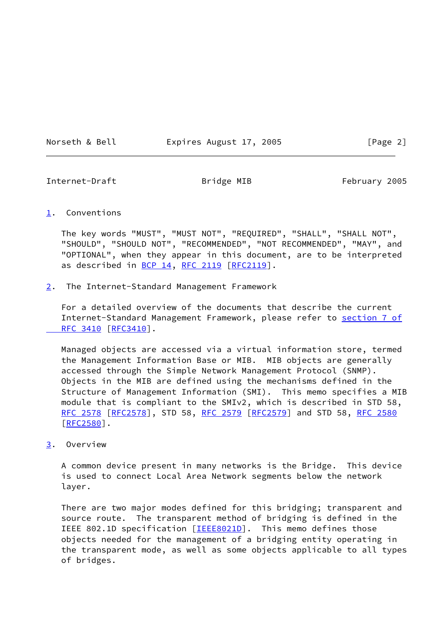Norseth & Bell **Expires August 17, 2005** [Page 2]

<span id="page-2-1"></span>Internet-Draft **Bridge MIB** February 2005

# <span id="page-2-0"></span>[1](#page-2-0). Conventions

 The key words "MUST", "MUST NOT", "REQUIRED", "SHALL", "SHALL NOT", "SHOULD", "SHOULD NOT", "RECOMMENDED", "NOT RECOMMENDED", "MAY", and "OPTIONAL", when they appear in this document, are to be interpreted as described in [BCP 14](https://datatracker.ietf.org/doc/pdf/bcp14), [RFC 2119](https://datatracker.ietf.org/doc/pdf/rfc2119) [\[RFC2119](https://datatracker.ietf.org/doc/pdf/rfc2119)].

<span id="page-2-2"></span>[2](#page-2-2). The Internet-Standard Management Framework

 For a detailed overview of the documents that describe the current Internet-Standard Management Framework, please refer to [section](https://datatracker.ietf.org/doc/pdf/rfc3410#section-7) 7 of RFC 3410 [\[RFC3410](https://datatracker.ietf.org/doc/pdf/rfc3410)].

 Managed objects are accessed via a virtual information store, termed the Management Information Base or MIB. MIB objects are generally accessed through the Simple Network Management Protocol (SNMP). Objects in the MIB are defined using the mechanisms defined in the Structure of Management Information (SMI). This memo specifies a MIB module that is compliant to the SMIv2, which is described in STD 58, [RFC 2578](https://datatracker.ietf.org/doc/pdf/rfc2578) [\[RFC2578](https://datatracker.ietf.org/doc/pdf/rfc2578)], STD 58, [RFC 2579 \[RFC2579](https://datatracker.ietf.org/doc/pdf/rfc2579)] and STD 58, [RFC 2580](https://datatracker.ietf.org/doc/pdf/rfc2580) [\[RFC2580](https://datatracker.ietf.org/doc/pdf/rfc2580)].

<span id="page-2-3"></span>[3](#page-2-3). Overview

 A common device present in many networks is the Bridge. This device is used to connect Local Area Network segments below the network layer.

 There are two major modes defined for this bridging; transparent and source route. The transparent method of bridging is defined in the IEEE 802.1D specification [[IEEE8021D\]](#page-48-1). This memo defines those objects needed for the management of a bridging entity operating in the transparent mode, as well as some objects applicable to all types of bridges.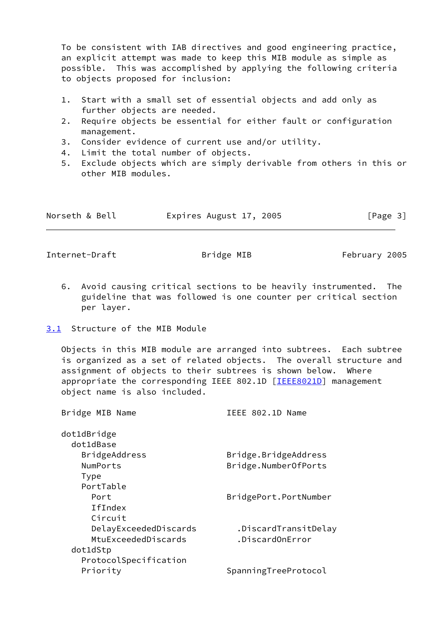To be consistent with IAB directives and good engineering practice, an explicit attempt was made to keep this MIB module as simple as possible. This was accomplished by applying the following criteria to objects proposed for inclusion:

- 1. Start with a small set of essential objects and add only as further objects are needed.
- 2. Require objects be essential for either fault or configuration management.
- 3. Consider evidence of current use and/or utility.
- 4. Limit the total number of objects.
- 5. Exclude objects which are simply derivable from others in this or other MIB modules.

| Norseth & Bell | Expires August 17, 2005 | [Page 3] |
|----------------|-------------------------|----------|
|----------------|-------------------------|----------|

<span id="page-3-1"></span>Internet-Draft **Bridge MIB** February 2005

- 6. Avoid causing critical sections to be heavily instrumented. The guideline that was followed is one counter per critical section per layer.
- <span id="page-3-0"></span>[3.1](#page-3-0) Structure of the MIB Module

 Objects in this MIB module are arranged into subtrees. Each subtree is organized as a set of related objects. The overall structure and assignment of objects to their subtrees is shown below. Where appropriate the corresponding IEEE 802.1D [[IEEE8021D\]](#page-48-1) management object name is also included.

| Bridge MIB Name       | IEEE 802.1D Name      |
|-----------------------|-----------------------|
| dot1dBridge           |                       |
| dot1dBase             |                       |
| BridgeAddress         | Bridge.BridgeAddress  |
| NumPorts              | Bridge.NumberOfPorts  |
| Type                  |                       |
| PortTable             |                       |
| Port                  | BridgePort.PortNumber |
| <b>IfIndex</b>        |                       |
| Circuit               |                       |
| DelayExceededDiscards | .DiscardTransitDelay  |
| MtuExceededDiscards   | .DiscardOnError       |
| dot1dStp              |                       |
| ProtocolSpecification |                       |
| Priority              | SpanningTreeProtocol  |
|                       |                       |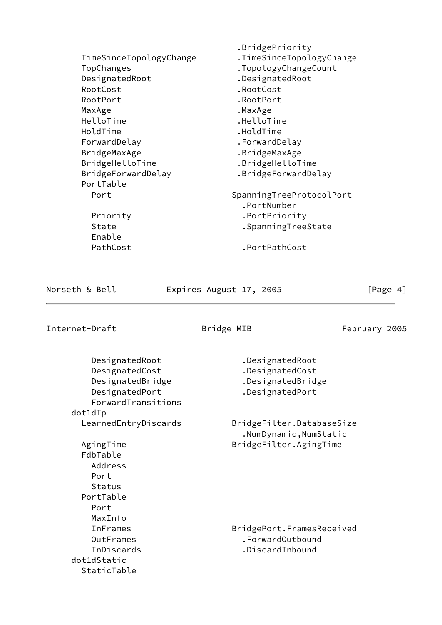| TimeSinceTopologyChange<br>TopChanges<br>DesignatedRoot<br>RootCost<br>RootPort<br>MaxAge<br>HelloTime<br>HoldTime<br>ForwardDelay<br>BridgeMaxAge<br>BridgeHelloTime<br>BridgeForwardDelay | .BridgePriority<br>.TimeSinceTopologyChange<br>.TopologyChangeCount<br>.DesignatedRoot<br>.RootCost<br>.RootPort<br>.MaxAge<br>.HelloTime<br>.HoldTime<br>.ForwardDelay<br>.BridgeMaxAge<br>.BridgeHelloTime<br>.BridgeForwardDelay |
|---------------------------------------------------------------------------------------------------------------------------------------------------------------------------------------------|-------------------------------------------------------------------------------------------------------------------------------------------------------------------------------------------------------------------------------------|
| PortTable                                                                                                                                                                                   |                                                                                                                                                                                                                                     |
| Port                                                                                                                                                                                        | SpanningTreeProtocolPort<br>.PortNumber                                                                                                                                                                                             |
| Priority                                                                                                                                                                                    | .PortPriority                                                                                                                                                                                                                       |
| State<br>Enable                                                                                                                                                                             | .SpanningTreeState                                                                                                                                                                                                                  |
| PathCost                                                                                                                                                                                    | .PortPathCost                                                                                                                                                                                                                       |

Norseth & Bell **Expires August 17, 2005** [Page 4]

Internet-Draft **Example 2005** Bridge MIB February 2005

| DesignatedRoot<br>DesignatedCost<br>DesignatedBridge<br>DesignatedPort<br>ForwardTransitions<br>dot1dTp | .DesignatedRoot<br>.DesignatedCost<br>.DesignatedBridge<br>.DesignatedPort |
|---------------------------------------------------------------------------------------------------------|----------------------------------------------------------------------------|
| LearnedEntryDiscards                                                                                    | BridgeFilter.DatabaseSize<br>.NumDynamic, NumStatic                        |
| AgingTime<br>FdbTable<br>Address<br>Port<br>Status<br>PortTable<br>Port<br>MaxInfo                      | BridgeFilter.AgingTime                                                     |
| <b>InFrames</b><br>OutFrames<br>InDiscards<br>dot1dStatic<br>StaticTable                                | BridgePort.FramesReceived<br>.ForwardOutbound<br>.DiscardInbound           |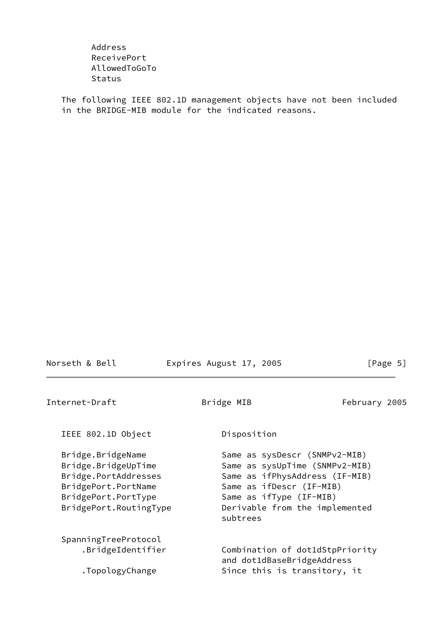Address ReceivePort AllowedToGoTo **Status** 

 The following IEEE 802.1D management objects have not been included in the BRIDGE-MIB module for the indicated reasons.

<span id="page-5-0"></span>Internet-Draft **Bridge MIB** February 2005 IEEE 802.1D Object Disposition

Bridge.BridgeName Same as sysDescr (SNMPv2-MIB) Bridge.BridgeUpTime Same as sysUpTime (SNMPv2-MIB) Bridge.PortAddresses Same as ifPhysAddress (IF-MIB) BridgePort.PortName Same as ifDescr (IF-MIB) BridgePort.PortType Same as ifType (IF-MIB) BridgePort.RoutingType Derivable from the implemented subtrees SpanningTreeProtocol .BridgeIdentifier Combination of dot1dStpPriority and dot1dBaseBridgeAddress .TopologyChange Since this is transitory, it

Norseth & Bell **Expires August 17, 2005** [Page 5]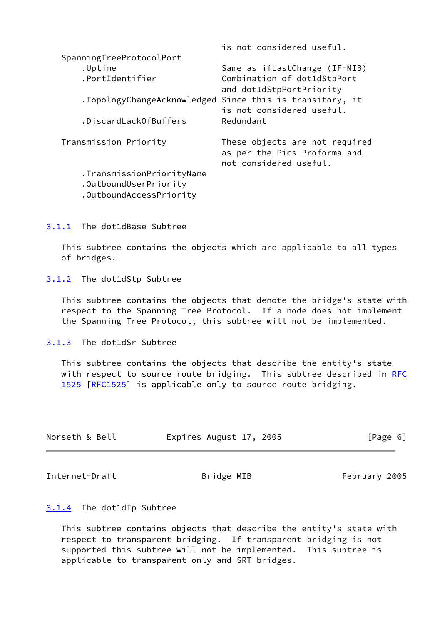|                                                                               | is not considered useful.                                                                |
|-------------------------------------------------------------------------------|------------------------------------------------------------------------------------------|
| SpanningTreeProtocolPort                                                      |                                                                                          |
| .Uptime                                                                       | Same as ifLastChange (IF-MIB)                                                            |
| .PortIdentifier                                                               | Combination of dot1dStpPort<br>and dot1dStpPortPriority                                  |
| .TopologyChangeAcknowledged                                                   | Since this is transitory, it<br>is not considered useful.                                |
| .DiscardLackOfBuffers                                                         | Redundant                                                                                |
| Transmission Priority                                                         | These objects are not required<br>as per the Pics Proforma and<br>not considered useful. |
| .TransmissionPriorityName<br>.OutboundUserPriority<br>.OutboundAccessPriority |                                                                                          |

<span id="page-6-0"></span>[3.1.1](#page-6-0) The dot1dBase Subtree

 This subtree contains the objects which are applicable to all types of bridges.

<span id="page-6-1"></span>[3.1.2](#page-6-1) The dot1dStp Subtree

 This subtree contains the objects that denote the bridge's state with respect to the Spanning Tree Protocol. If a node does not implement the Spanning Tree Protocol, this subtree will not be implemented.

<span id="page-6-2"></span>[3.1.3](#page-6-2) The dot1dSr Subtree

 This subtree contains the objects that describe the entity's state with respect to source route bridging. This subtree described in [RFC](https://datatracker.ietf.org/doc/pdf/rfc1525) [1525](https://datatracker.ietf.org/doc/pdf/rfc1525) [\[RFC1525](https://datatracker.ietf.org/doc/pdf/rfc1525)] is applicable only to source route bridging.

| Norseth & Bell | Expires August 17, 2005 |  | [Page 6] |
|----------------|-------------------------|--|----------|
|----------------|-------------------------|--|----------|

<span id="page-6-4"></span>Internet-Draft **Bridge MIB** February 2005

### <span id="page-6-3"></span>[3.1.4](#page-6-3) The dot1dTp Subtree

 This subtree contains objects that describe the entity's state with respect to transparent bridging. If transparent bridging is not supported this subtree will not be implemented. This subtree is applicable to transparent only and SRT bridges.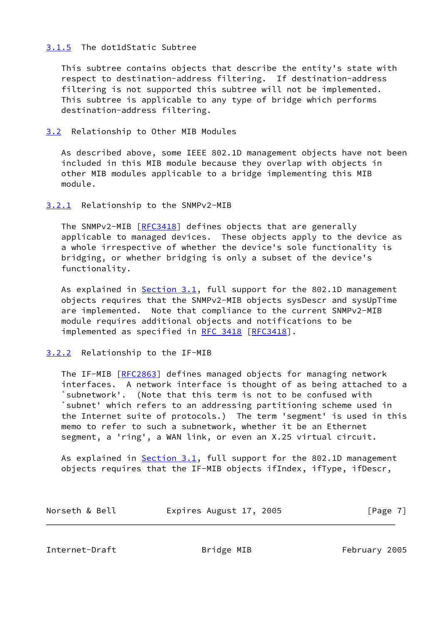## <span id="page-7-0"></span>[3.1.5](#page-7-0) The dot1dStatic Subtree

 This subtree contains objects that describe the entity's state with respect to destination-address filtering. If destination-address filtering is not supported this subtree will not be implemented. This subtree is applicable to any type of bridge which performs destination-address filtering.

<span id="page-7-1"></span>[3.2](#page-7-1) Relationship to Other MIB Modules

 As described above, some IEEE 802.1D management objects have not been included in this MIB module because they overlap with objects in other MIB modules applicable to a bridge implementing this MIB module.

### <span id="page-7-2"></span>[3.2.1](#page-7-2) Relationship to the SNMPv2-MIB

The SNMPv2-MIB [\[RFC3418](https://datatracker.ietf.org/doc/pdf/rfc3418)] defines objects that are generally applicable to managed devices. These objects apply to the device as a whole irrespective of whether the device's sole functionality is bridging, or whether bridging is only a subset of the device's functionality.

As explained in **Section 3.1**, full support for the 802.1D management objects requires that the SNMPv2-MIB objects sysDescr and sysUpTime are implemented. Note that compliance to the current SNMPv2-MIB module requires additional objects and notifications to be implemented as specified in [RFC 3418 \[RFC3418](https://datatracker.ietf.org/doc/pdf/rfc3418)].

### <span id="page-7-3"></span>[3.2.2](#page-7-3) Relationship to the IF-MIB

 The IF-MIB [[RFC2863\]](https://datatracker.ietf.org/doc/pdf/rfc2863) defines managed objects for managing network interfaces. A network interface is thought of as being attached to a `subnetwork'. (Note that this term is not to be confused with `subnet' which refers to an addressing partitioning scheme used in the Internet suite of protocols.) The term 'segment' is used in this memo to refer to such a subnetwork, whether it be an Ethernet segment, a 'ring', a WAN link, or even an X.25 virtual circuit.

As explained in **Section 3.1**, full support for the 802.1D management objects requires that the IF-MIB objects ifIndex, ifType, ifDescr,

| Norseth & Bell | Expires August 17, 2005 | [Page 7] |
|----------------|-------------------------|----------|
|----------------|-------------------------|----------|

<span id="page-7-4"></span>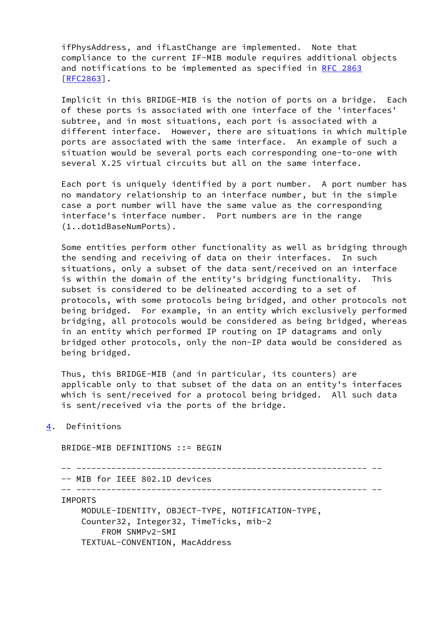ifPhysAddress, and ifLastChange are implemented. Note that compliance to the current IF-MIB module requires additional objects and notifications to be implemented as specified in [RFC 2863](https://datatracker.ietf.org/doc/pdf/rfc2863) [\[RFC2863](https://datatracker.ietf.org/doc/pdf/rfc2863)].

 Implicit in this BRIDGE-MIB is the notion of ports on a bridge. Each of these ports is associated with one interface of the 'interfaces' subtree, and in most situations, each port is associated with a different interface. However, there are situations in which multiple ports are associated with the same interface. An example of such a situation would be several ports each corresponding one-to-one with several X.25 virtual circuits but all on the same interface.

 Each port is uniquely identified by a port number. A port number has no mandatory relationship to an interface number, but in the simple case a port number will have the same value as the corresponding interface's interface number. Port numbers are in the range (1..dot1dBaseNumPorts).

 Some entities perform other functionality as well as bridging through the sending and receiving of data on their interfaces. In such situations, only a subset of the data sent/received on an interface is within the domain of the entity's bridging functionality. This subset is considered to be delineated according to a set of protocols, with some protocols being bridged, and other protocols not being bridged. For example, in an entity which exclusively performed bridging, all protocols would be considered as being bridged, whereas in an entity which performed IP routing on IP datagrams and only bridged other protocols, only the non-IP data would be considered as being bridged.

 Thus, this BRIDGE-MIB (and in particular, its counters) are applicable only to that subset of the data on an entity's interfaces which is sent/received for a protocol being bridged. All such data is sent/received via the ports of the bridge.

<span id="page-8-0"></span>[4](#page-8-0). Definitions

BRIDGE-MIB DEFINITIONS ::= BEGIN

 -- ---------------------------------------------------------- -- -- MIB for IEEE 802.1D devices -- ---------------------------------------------------------- -- IMPORTS MODULE-IDENTITY, OBJECT-TYPE, NOTIFICATION-TYPE, Counter32, Integer32, TimeTicks, mib-2 FROM SNMPv2-SMI TEXTUAL-CONVENTION, MacAddress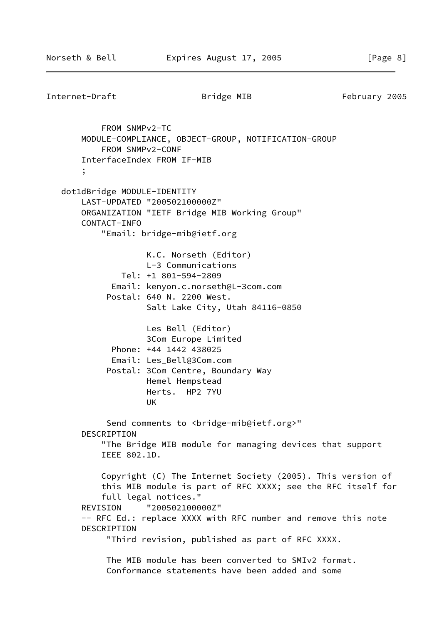```
Internet-Draft Bridge MIB February 2005
             FROM SNMPv2-TC
        MODULE-COMPLIANCE, OBJECT-GROUP, NOTIFICATION-GROUP
             FROM SNMPv2-CONF
        InterfaceIndex FROM IF-MIB
        ;
    dot1dBridge MODULE-IDENTITY
        LAST-UPDATED "200502100000Z"
        ORGANIZATION "IETF Bridge MIB Working Group"
        CONTACT-INFO
             "Email: bridge-mib@ietf.org
                      K.C. Norseth (Editor)
                      L-3 Communications
                 Tel: +1 801-594-2809
               Email: kenyon.c.norseth@L-3com.com
              Postal: 640 N. 2200 West.
                      Salt Lake City, Utah 84116-0850
                      Les Bell (Editor)
                      3Com Europe Limited
               Phone: +44 1442 438025
               Email: Les_Bell@3Com.com
              Postal: 3Com Centre, Boundary Way
                      Hemel Hempstead
                      Herts. HP2 7YU
UK SERIKA SERIKA SERIKA SERIKA SERIKA SERIKA SERIKA SERIKA SERIKA SERIKA SERIKA SERIKA SERIKA SERIKA SERIKA S
             Send comments to <br idge-mib@ietf.org>"
        DESCRIPTION
             "The Bridge MIB module for managing devices that support
             IEEE 802.1D.
             Copyright (C) The Internet Society (2005). This version of
             this MIB module is part of RFC XXXX; see the RFC itself for
             full legal notices."
        REVISION "200502100000Z"
       -- RFC Ed.: replace XXXX with RFC number and remove this note
        DESCRIPTION
              "Third revision, published as part of RFC XXXX.
              The MIB module has been converted to SMIv2 format.
              Conformance statements have been added and some
```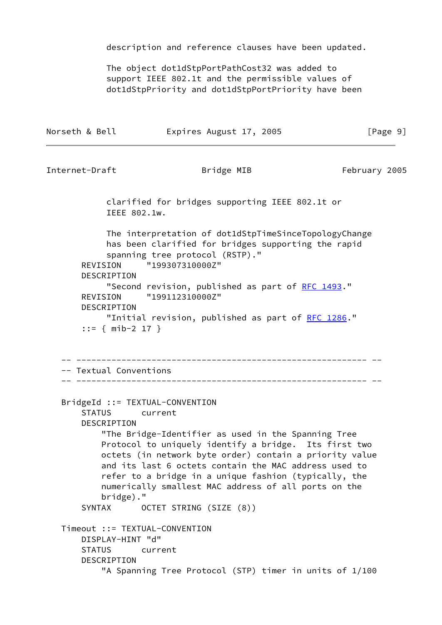description and reference clauses have been updated.

 The object dot1dStpPortPathCost32 was added to support IEEE 802.1t and the permissible values of dot1dStpPriority and dot1dStpPortPriority have been

| Norseth & Bell | Expires August 17, 2005 | [Page 9] |
|----------------|-------------------------|----------|
|----------------|-------------------------|----------|

```
Internet-Draft Bridge MIB February 2005
```
 clarified for bridges supporting IEEE 802.1t or IEEE 802.1w.

 The interpretation of dot1dStpTimeSinceTopologyChange has been clarified for bridges supporting the rapid spanning tree protocol (RSTP)." REVISION "199307310000Z" DESCRIPTION "Second revision, published as part of [RFC 1493](https://datatracker.ietf.org/doc/pdf/rfc1493)." REVISION "199112310000Z"

DESCRIPTION

 "Initial revision, published as part of [RFC 1286](https://datatracker.ietf.org/doc/pdf/rfc1286)." ::= { mib-2 17 }

```
 -- ---------------------------------------------------------- --
```

```
 -- Textual Conventions
  -- ---------------------------------------------------------- --
```

```
 BridgeId ::= TEXTUAL-CONVENTION
     STATUS current
     DESCRIPTION
         "The Bridge-Identifier as used in the Spanning Tree
         Protocol to uniquely identify a bridge. Its first two
         octets (in network byte order) contain a priority value
         and its last 6 octets contain the MAC address used to
         refer to a bridge in a unique fashion (typically, the
         numerically smallest MAC address of all ports on the
         bridge)."
     SYNTAX OCTET STRING (SIZE (8))
 Timeout ::= TEXTUAL-CONVENTION
     DISPLAY-HINT "d"
     STATUS current
```
DESCRIPTION

"A Spanning Tree Protocol (STP) timer in units of 1/100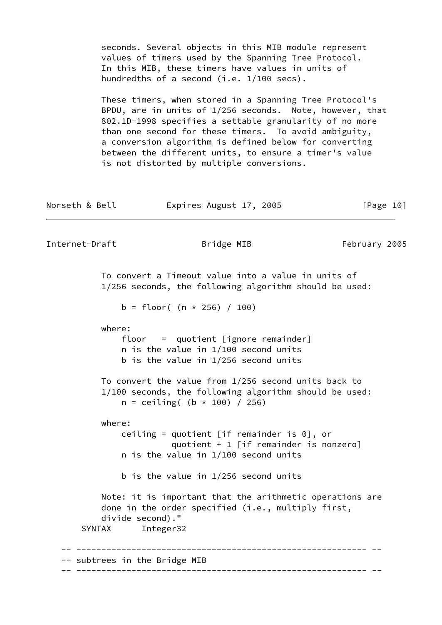seconds. Several objects in this MIB module represent values of timers used by the Spanning Tree Protocol. In this MIB, these timers have values in units of hundredths of a second (i.e. 1/100 secs).

 These timers, when stored in a Spanning Tree Protocol's BPDU, are in units of 1/256 seconds. Note, however, that 802.1D-1998 specifies a settable granularity of no more than one second for these timers. To avoid ambiguity, a conversion algorithm is defined below for converting between the different units, to ensure a timer's value is not distorted by multiple conversions.

| Norseth & Bell | Expires August 17, 2005                                                                                                                           |               | [Page 10] |
|----------------|---------------------------------------------------------------------------------------------------------------------------------------------------|---------------|-----------|
| Internet-Draft | Bridge MIB                                                                                                                                        | February 2005 |           |
|                | To convert a Timeout value into a value in units of<br>1/256 seconds, the following algorithm should be used:                                     |               |           |
|                | b = floor( $(n * 256) / 100$ )                                                                                                                    |               |           |
| where:         | $floor = quotient [ignore$ remainder]<br>$n$ is the value in $1/100$ second units<br>b is the value in 1/256 second units                         |               |           |
|                | To convert the value from 1/256 second units back to<br>1/100 seconds, the following algorithm should be used:<br>$n = ceiling( (b * 100) / 256)$ |               |           |
| where:         | ceiling = quotient [if remainder is $0$ ], or<br>quotient + 1 [if remainder is nonzero]<br>$n$ is the value in $1/100$ second units               |               |           |
|                | b is the value in $1/256$ second units                                                                                                            |               |           |
| <b>SYNTAX</b>  | Note: it is important that the arithmetic operations are<br>done in the order specified (i.e., multiply first,<br>divide second)."<br>Integer32   |               |           |
|                | subtrees in the Bridge MIB                                                                                                                        |               |           |
|                |                                                                                                                                                   |               |           |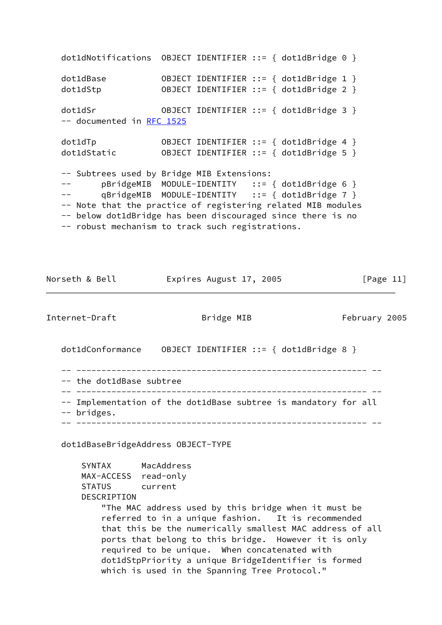dot1dNotifications OBJECT IDENTIFIER ::= { dot1dBridge 0 } dot1dBase OBJECT IDENTIFIER ::= { dot1dBridge 1 } dot1dStp OBJECT IDENTIFIER ::= { dot1dBridge 2 } dot1dSr OBJECT IDENTIFIER ::= { dot1dBridge 3 } -- documented in [RFC 1525](https://datatracker.ietf.org/doc/pdf/rfc1525) dot1dTp OBJECT IDENTIFIER ::= { dot1dBridge 4 } OBJECT IDENTIFIER ::= { dot1dBridge 5 } -- Subtrees used by Bridge MIB Extensions: -- pBridgeMIB MODULE-IDENTITY ::= { dot1dBridge 6 } -- qBridgeMIB MODULE-IDENTITY ::= { dot1dBridge 7 } -- Note that the practice of registering related MIB modules -- below dot1dBridge has been discouraged since there is no -- robust mechanism to track such registrations.

Norseth & Bell **Expires August 17, 2005** [Page 11]

Internet-Draft **Bridge MIB** February 2005

dot1dConformance OBJECT IDENTIFIER ::= { dot1dBridge 8 }

 -- ---------------------------------------------------------- -- -- the dot1dBase subtree -- ---------------------------------------------------------- -- -- Implementation of the dot1dBase subtree is mandatory for all -- bridges. -- ---------------------------------------------------------- --

dot1dBaseBridgeAddress OBJECT-TYPE

 SYNTAX MacAddress MAX-ACCESS read-only STATUS current DESCRIPTION "The MAC address used by this bridge when it must be referred to in a unique fashion. It is recommended that this be the numerically smallest MAC address of all ports that belong to this bridge. However it is only required to be unique. When concatenated with dot1dStpPriority a unique BridgeIdentifier is formed which is used in the Spanning Tree Protocol."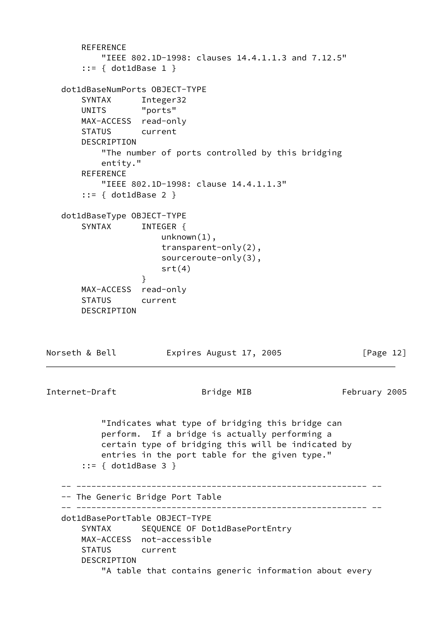```
REFERENCE
           "IEEE 802.1D-1998: clauses 14.4.1.1.3 and 7.12.5"
       ::= { dot1dBase 1 }
   dot1dBaseNumPorts OBJECT-TYPE
       SYNTAX Integer32
       UNITS "ports"
       MAX-ACCESS read-only
       STATUS current
       DESCRIPTION
           "The number of ports controlled by this bridging
           entity."
       REFERENCE
           "IEEE 802.1D-1998: clause 14.4.1.1.3"
       ::= { dot1dBase 2 }
   dot1dBaseType OBJECT-TYPE
      SYNTAX INTEGER {
                      unknown(1),
                      transparent-only(2),
                      sourceroute-only(3),
                     srt(4) }
       MAX-ACCESS read-only
       STATUS current
       DESCRIPTION
Norseth & Bell Expires August 17, 2005 [Page 12]
Internet-Draft Bridge MIB February 2005
           "Indicates what type of bridging this bridge can
           perform. If a bridge is actually performing a
           certain type of bridging this will be indicated by
           entries in the port table for the given type."
       ::= { dot1dBase 3 }
    -- ---------------------------------------------------------- --
   -- The Generic Bridge Port Table
   -- ---------------------------------------------------------- --
   dot1dBasePortTable OBJECT-TYPE
      SYNTAX SEQUENCE OF Dot1dBasePortEntry
       MAX-ACCESS not-accessible
       STATUS current
       DESCRIPTION
           "A table that contains generic information about every
```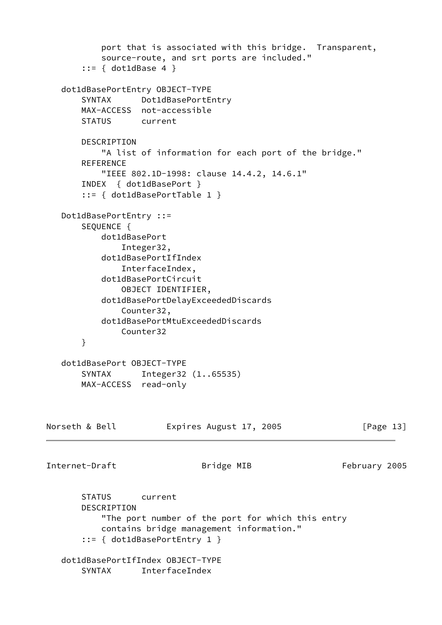```
 port that is associated with this bridge. Transparent,
           source-route, and srt ports are included."
        ::= { dot1dBase 4 }
   dot1dBasePortEntry OBJECT-TYPE
       SYNTAX Dot1dBasePortEntry
       MAX-ACCESS not-accessible
       STATUS current
       DESCRIPTION
           "A list of information for each port of the bridge."
       REFERENCE
           "IEEE 802.1D-1998: clause 14.4.2, 14.6.1"
       INDEX { dot1dBasePort }
        ::= { dot1dBasePortTable 1 }
   Dot1dBasePortEntry ::=
       SEQUENCE {
           dot1dBasePort
               Integer32,
           dot1dBasePortIfIndex
               InterfaceIndex,
           dot1dBasePortCircuit
               OBJECT IDENTIFIER,
           dot1dBasePortDelayExceededDiscards
               Counter32,
           dot1dBasePortMtuExceededDiscards
               Counter32
       }
   dot1dBasePort OBJECT-TYPE
       SYNTAX Integer32 (1..65535)
       MAX-ACCESS read-only
Norseth & Bell Expires August 17, 2005 [Page 13]
Internet-Draft Bridge MIB February 2005
       STATUS current
       DESCRIPTION
           "The port number of the port for which this entry
           contains bridge management information."
        ::= { dot1dBasePortEntry 1 }
   dot1dBasePortIfIndex OBJECT-TYPE
```
SYNTAX InterfaceIndex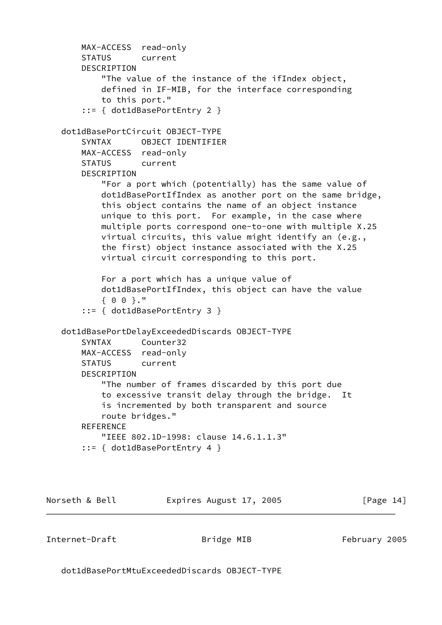```
 MAX-ACCESS read-only
     STATUS current
     DESCRIPTION
         "The value of the instance of the ifIndex object,
         defined in IF-MIB, for the interface corresponding
         to this port."
     ::= { dot1dBasePortEntry 2 }
 dot1dBasePortCircuit OBJECT-TYPE
     SYNTAX OBJECT IDENTIFIER
     MAX-ACCESS read-only
     STATUS current
     DESCRIPTION
         "For a port which (potentially) has the same value of
         dot1dBasePortIfIndex as another port on the same bridge,
         this object contains the name of an object instance
         unique to this port. For example, in the case where
         multiple ports correspond one-to-one with multiple X.25
         virtual circuits, this value might identify an (e.g.,
         the first) object instance associated with the X.25
         virtual circuit corresponding to this port.
         For a port which has a unique value of
         dot1dBasePortIfIndex, this object can have the value
         { 0 0 }."
     ::= { dot1dBasePortEntry 3 }
 dot1dBasePortDelayExceededDiscards OBJECT-TYPE
     SYNTAX Counter32
     MAX-ACCESS read-only
     STATUS current
     DESCRIPTION
         "The number of frames discarded by this port due
         to excessive transit delay through the bridge. It
         is incremented by both transparent and source
         route bridges."
    REFERENCE
         "IEEE 802.1D-1998: clause 14.6.1.1.3"
     ::= { dot1dBasePortEntry 4 }
```
Norseth & Bell **Expires August 17, 2005** [Page 14]

Internet-Draft **Bridge MIB** February 2005

dot1dBasePortMtuExceededDiscards OBJECT-TYPE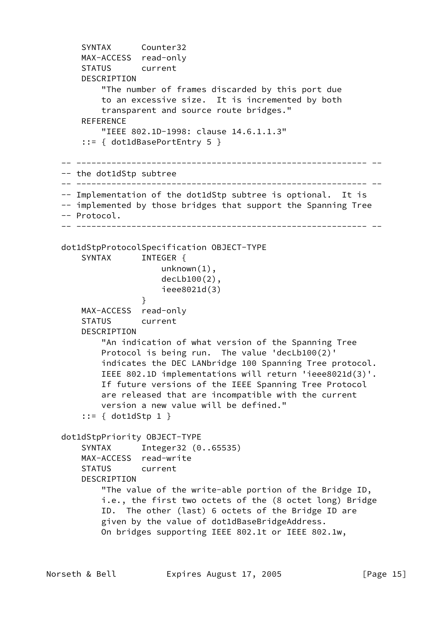```
 SYNTAX Counter32
       MAX-ACCESS read-only
       STATUS current
       DESCRIPTION
            "The number of frames discarded by this port due
            to an excessive size. It is incremented by both
            transparent and source route bridges."
      REFERENCE
            "IEEE 802.1D-1998: clause 14.6.1.1.3"
        ::= { dot1dBasePortEntry 5 }
   -- ---------------------------------------------------------- --
   -- the dot1dStp subtree
   -- ---------------------------------------------------------- --
   -- Implementation of the dot1dStp subtree is optional. It is
  -- implemented by those bridges that support the Spanning Tree
   -- Protocol.
                 -- ---------------------------------------------------------- --
   dot1dStpProtocolSpecification OBJECT-TYPE
      SYNTAX INTEGER {
                        unknown(1),
                        decLb100(2),
                        ieee8021d(3)
 }
       MAX-ACCESS read-only
       STATUS current
       DESCRIPTION
            "An indication of what version of the Spanning Tree
           Protocol is being run. The value 'decLb100(2)'
           indicates the DEC LANbridge 100 Spanning Tree protocol.
           IEEE 802.1D implementations will return 'ieee8021d(3)'.
           If future versions of the IEEE Spanning Tree Protocol
            are released that are incompatible with the current
            version a new value will be defined."
        ::= { dot1dStp 1 }
   dot1dStpPriority OBJECT-TYPE
       SYNTAX Integer32 (0..65535)
       MAX-ACCESS read-write
       STATUS current
       DESCRIPTION
            "The value of the write-able portion of the Bridge ID,
            i.e., the first two octets of the (8 octet long) Bridge
            ID. The other (last) 6 octets of the Bridge ID are
            given by the value of dot1dBaseBridgeAddress.
           On bridges supporting IEEE 802.1t or IEEE 802.1w,
```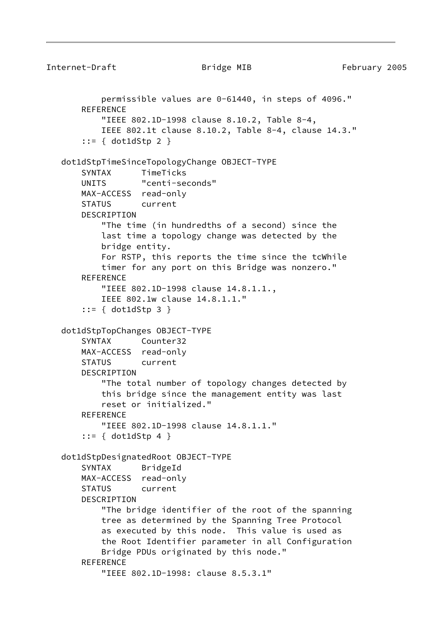```
Internet-Draft Bridge MIB February 2005
           permissible values are 0-61440, in steps of 4096."
       REFERENCE
            "IEEE 802.1D-1998 clause 8.10.2, Table 8-4,
            IEEE 802.1t clause 8.10.2, Table 8-4, clause 14.3."
        ::= { dot1dStp 2 }
   dot1dStpTimeSinceTopologyChange OBJECT-TYPE
       SYNTAX TimeTicks
       UNITS "centi-seconds"
       MAX-ACCESS read-only
       STATUS current
       DESCRIPTION
            "The time (in hundredths of a second) since the
            last time a topology change was detected by the
            bridge entity.
            For RSTP, this reports the time since the tcWhile
            timer for any port on this Bridge was nonzero."
       REFERENCE
            "IEEE 802.1D-1998 clause 14.8.1.1.,
            IEEE 802.1w clause 14.8.1.1."
        ::= { dot1dStp 3 }
   dot1dStpTopChanges OBJECT-TYPE
       SYNTAX Counter32
       MAX-ACCESS read-only
       STATUS current
       DESCRIPTION
            "The total number of topology changes detected by
            this bridge since the management entity was last
            reset or initialized."
      REFERENCE
            "IEEE 802.1D-1998 clause 14.8.1.1."
        ::= { dot1dStp 4 }
   dot1dStpDesignatedRoot OBJECT-TYPE
```
"IEEE 802.1D-1998: clause 8.5.3.1"

Bridge PDUs originated by this node."

 "The bridge identifier of the root of the spanning tree as determined by the Spanning Tree Protocol as executed by this node. This value is used as the Root Identifier parameter in all Configuration

 SYNTAX BridgeId MAX-ACCESS read-only STATUS current

DESCRIPTION

**REFERENCE**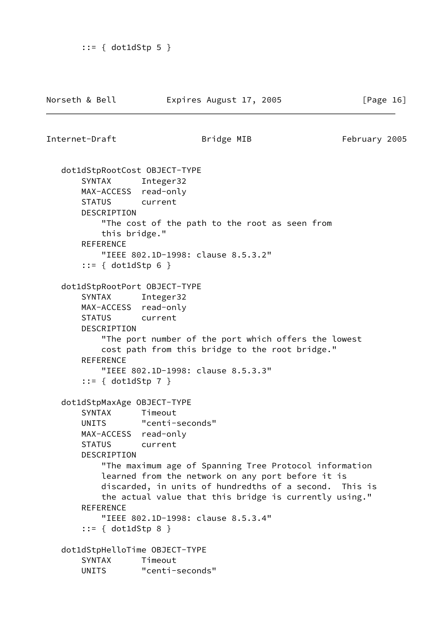```
 ::= { dot1dStp 5 }
```
Internet-Draft **Bridge MIB** February 2005

```
 dot1dStpRootCost OBJECT-TYPE
     SYNTAX Integer32
     MAX-ACCESS read-only
     STATUS current
     DESCRIPTION
         "The cost of the path to the root as seen from
        this bridge."
    REFERENCE
         "IEEE 802.1D-1998: clause 8.5.3.2"
     ::= { dot1dStp 6 }
 dot1dStpRootPort OBJECT-TYPE
     SYNTAX Integer32
     MAX-ACCESS read-only
     STATUS current
     DESCRIPTION
         "The port number of the port which offers the lowest
         cost path from this bridge to the root bridge."
    REFERENCE
         "IEEE 802.1D-1998: clause 8.5.3.3"
     ::= { dot1dStp 7 }
 dot1dStpMaxAge OBJECT-TYPE
     SYNTAX Timeout
     UNITS "centi-seconds"
     MAX-ACCESS read-only
     STATUS current
     DESCRIPTION
         "The maximum age of Spanning Tree Protocol information
         learned from the network on any port before it is
         discarded, in units of hundredths of a second. This is
        the actual value that this bridge is currently using."
     REFERENCE
         "IEEE 802.1D-1998: clause 8.5.3.4"
     ::= { dot1dStp 8 }
 dot1dStpHelloTime OBJECT-TYPE
     SYNTAX Timeout
     UNITS "centi-seconds"
```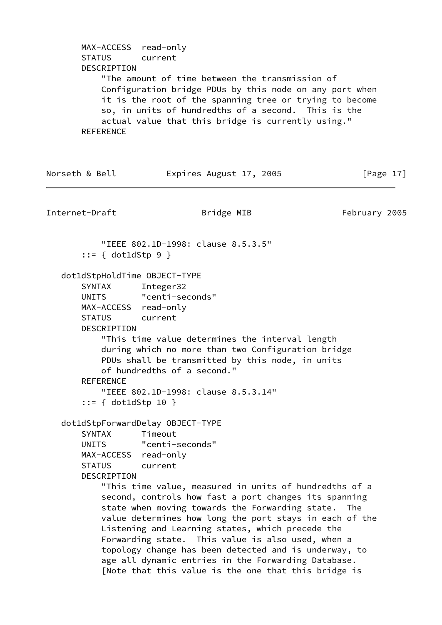MAX-ACCESS read-only STATUS current DESCRIPTION "The amount of time between the transmission of Configuration bridge PDUs by this node on any port when it is the root of the spanning tree or trying to become so, in units of hundredths of a second. This is the actual value that this bridge is currently using." **REFERENCE** Norseth & Bell **Expires August 17, 2005** [Page 17] Internet-Draft **Bridge MIB** February 2005 "IEEE 802.1D-1998: clause 8.5.3.5" ::= { dot1dStp 9 } dot1dStpHoldTime OBJECT-TYPE SYNTAX Integer32 UNITS "centi-seconds" MAX-ACCESS read-only STATUS current DESCRIPTION "This time value determines the interval length during which no more than two Configuration bridge PDUs shall be transmitted by this node, in units of hundredths of a second." **REFERENCE**  "IEEE 802.1D-1998: clause 8.5.3.14" ::= { dot1dStp 10 } dot1dStpForwardDelay OBJECT-TYPE SYNTAX Timeout UNITS "centi-seconds" MAX-ACCESS read-only STATUS current DESCRIPTION "This time value, measured in units of hundredths of a second, controls how fast a port changes its spanning state when moving towards the Forwarding state. The value determines how long the port stays in each of the Listening and Learning states, which precede the Forwarding state. This value is also used, when a topology change has been detected and is underway, to age all dynamic entries in the Forwarding Database. [Note that this value is the one that this bridge is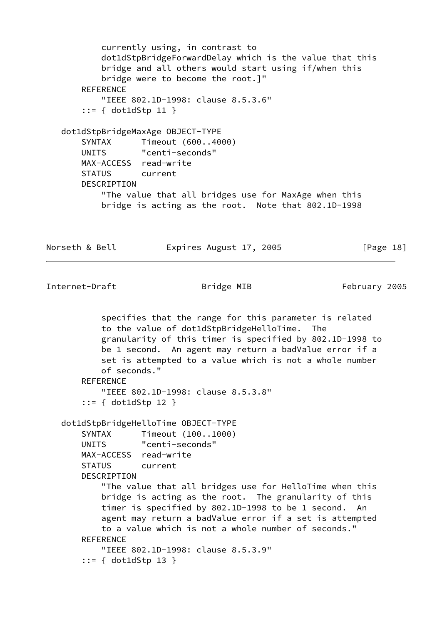currently using, in contrast to dot1dStpBridgeForwardDelay which is the value that this bridge and all others would start using if/when this bridge were to become the root.]" **REFERENCE**  "IEEE 802.1D-1998: clause 8.5.3.6" ::= { dot1dStp 11 } dot1dStpBridgeMaxAge OBJECT-TYPE SYNTAX Timeout (600..4000) UNITS "centi-seconds" MAX-ACCESS read-write STATUS current DESCRIPTION "The value that all bridges use for MaxAge when this bridge is acting as the root. Note that 802.1D-1998

Norseth & Bell **Expires August 17, 2005** [Page 18]

Internet-Draft **Bridge MIB** February 2005

 specifies that the range for this parameter is related to the value of dot1dStpBridgeHelloTime. The granularity of this timer is specified by 802.1D-1998 to be 1 second. An agent may return a badValue error if a set is attempted to a value which is not a whole number of seconds." **REFERENCE**  "IEEE 802.1D-1998: clause 8.5.3.8" ::= { dot1dStp 12 } dot1dStpBridgeHelloTime OBJECT-TYPE SYNTAX Timeout (100..1000) UNITS "centi-seconds" MAX-ACCESS read-write STATUS current DESCRIPTION "The value that all bridges use for HelloTime when this bridge is acting as the root. The granularity of this timer is specified by 802.1D-1998 to be 1 second. An agent may return a badValue error if a set is attempted to a value which is not a whole number of seconds." **REFERENCE**  "IEEE 802.1D-1998: clause 8.5.3.9" ::= { dot1dStp 13 }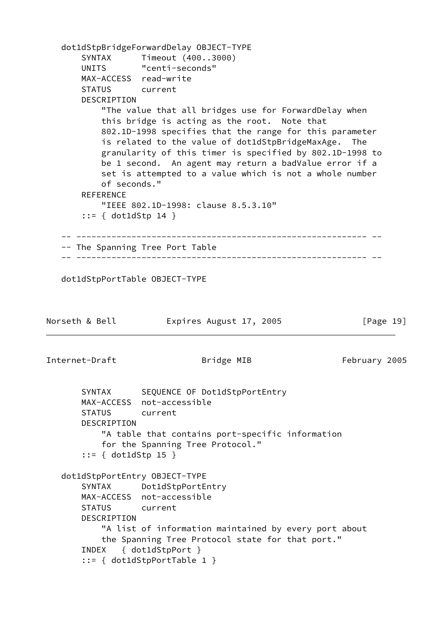```
 dot1dStpBridgeForwardDelay OBJECT-TYPE
       SYNTAX Timeout (400..3000)
       UNITS "centi-seconds"
       MAX-ACCESS read-write
       STATUS current
       DESCRIPTION
           "The value that all bridges use for ForwardDelay when
           this bridge is acting as the root. Note that
           802.1D-1998 specifies that the range for this parameter
           is related to the value of dot1dStpBridgeMaxAge. The
           granularity of this timer is specified by 802.1D-1998 to
           be 1 second. An agent may return a badValue error if a
           set is attempted to a value which is not a whole number
           of seconds."
      REFERENCE
           "IEEE 802.1D-1998: clause 8.5.3.10"
       ::= { dot1dStp 14 }
    -- ---------------------------------------------------------- --
    -- The Spanning Tree Port Table
    -- ---------------------------------------------------------- --
   dot1dStpPortTable OBJECT-TYPE
Norseth & Bell Expires August 17, 2005 [Page 19]
Internet-Draft Bridge MIB February 2005
      SYNTAX SEQUENCE OF Dot1dStpPortEntry
       MAX-ACCESS not-accessible
       STATUS current
       DESCRIPTION
           "A table that contains port-specific information
           for the Spanning Tree Protocol."
       ::= { dot1dStp 15 }
   dot1dStpPortEntry OBJECT-TYPE
       SYNTAX Dot1dStpPortEntry
       MAX-ACCESS not-accessible
       STATUS current
       DESCRIPTION
           "A list of information maintained by every port about
           the Spanning Tree Protocol state for that port."
       INDEX { dot1dStpPort }
       ::= { dot1dStpPortTable 1 }
```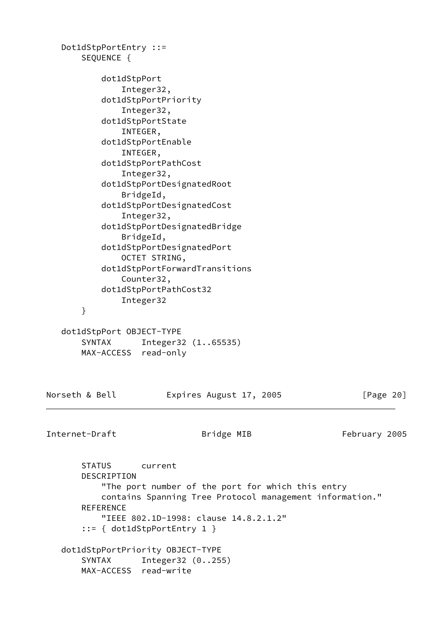Dot1dStpPortEntry ::= SEQUENCE { dot1dStpPort Integer32, dot1dStpPortPriority Integer32, dot1dStpPortState INTEGER, dot1dStpPortEnable INTEGER, dot1dStpPortPathCost Integer32, dot1dStpPortDesignatedRoot BridgeId, dot1dStpPortDesignatedCost Integer32, dot1dStpPortDesignatedBridge BridgeId, dot1dStpPortDesignatedPort OCTET STRING, dot1dStpPortForwardTransitions Counter32, dot1dStpPortPathCost32 Integer32 } dot1dStpPort OBJECT-TYPE SYNTAX Integer32 (1..65535) MAX-ACCESS read-only

Norseth & Bell **Expires August 17, 2005** [Page 20]

Internet-Draft **Bridge MIB** February 2005

 STATUS current DESCRIPTION "The port number of the port for which this entry contains Spanning Tree Protocol management information." REFERENCE "IEEE 802.1D-1998: clause 14.8.2.1.2" ::= { dot1dStpPortEntry 1 } dot1dStpPortPriority OBJECT-TYPE SYNTAX Integer32 (0..255) MAX-ACCESS read-write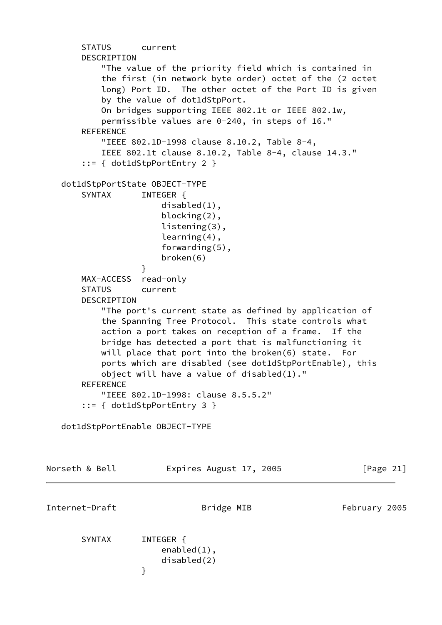```
 STATUS current
       DESCRIPTION
           "The value of the priority field which is contained in
           the first (in network byte order) octet of the (2 octet
           long) Port ID. The other octet of the Port ID is given
           by the value of dot1dStpPort.
           On bridges supporting IEEE 802.1t or IEEE 802.1w,
           permissible values are 0-240, in steps of 16."
       REFERENCE
           "IEEE 802.1D-1998 clause 8.10.2, Table 8-4,
           IEEE 802.1t clause 8.10.2, Table 8-4, clause 14.3."
       ::= { dot1dStpPortEntry 2 }
   dot1dStpPortState OBJECT-TYPE
      SYNTAX INTEGER {
                      disabled(1),
                      blocking(2),
                      listening(3),
                      learning(4),
                      forwarding(5),
                      broken(6)
 }
       MAX-ACCESS read-only
       STATUS current
       DESCRIPTION
           "The port's current state as defined by application of
           the Spanning Tree Protocol. This state controls what
           action a port takes on reception of a frame. If the
           bridge has detected a port that is malfunctioning it
           will place that port into the broken(6) state. For
           ports which are disabled (see dot1dStpPortEnable), this
           object will have a value of disabled(1)."
      REFERENCE
           "IEEE 802.1D-1998: clause 8.5.5.2"
       ::= { dot1dStpPortEntry 3 }
   dot1dStpPortEnable OBJECT-TYPE
Norseth & Bell Expires August 17, 2005 [Page 21]
Internet-Draft Bridge MIB February 2005
      SYNTAX INTEGER {
                      enabled(1),
                      disabled(2)
 }
```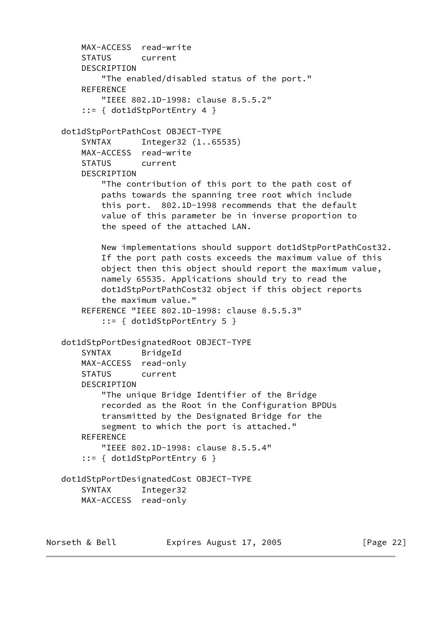```
 MAX-ACCESS read-write
        STATUS current
        DESCRIPTION
            "The enabled/disabled status of the port."
       REFERENCE
            "IEEE 802.1D-1998: clause 8.5.5.2"
        ::= { dot1dStpPortEntry 4 }
    dot1dStpPortPathCost OBJECT-TYPE
        SYNTAX Integer32 (1..65535)
        MAX-ACCESS read-write
        STATUS current
        DESCRIPTION
            "The contribution of this port to the path cost of
            paths towards the spanning tree root which include
            this port. 802.1D-1998 recommends that the default
            value of this parameter be in inverse proportion to
            the speed of the attached LAN.
            New implementations should support dot1dStpPortPathCost32.
            If the port path costs exceeds the maximum value of this
            object then this object should report the maximum value,
            namely 65535. Applications should try to read the
            dot1dStpPortPathCost32 object if this object reports
            the maximum value."
        REFERENCE "IEEE 802.1D-1998: clause 8.5.5.3"
            ::= { dot1dStpPortEntry 5 }
    dot1dStpPortDesignatedRoot OBJECT-TYPE
        SYNTAX BridgeId
        MAX-ACCESS read-only
        STATUS current
        DESCRIPTION
            "The unique Bridge Identifier of the Bridge
            recorded as the Root in the Configuration BPDUs
            transmitted by the Designated Bridge for the
            segment to which the port is attached."
       REFERENCE
            "IEEE 802.1D-1998: clause 8.5.5.4"
        ::= { dot1dStpPortEntry 6 }
    dot1dStpPortDesignatedCost OBJECT-TYPE
        SYNTAX Integer32
        MAX-ACCESS read-only
Norseth & Bell Expires August 17, 2005 [Page 22]
```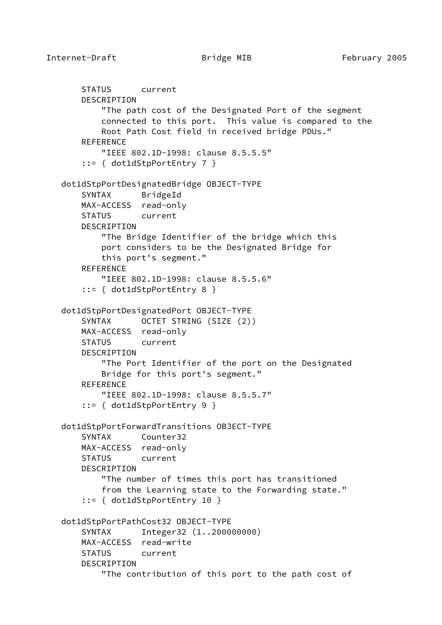```
 STATUS current
     DESCRIPTION
         "The path cost of the Designated Port of the segment
         connected to this port. This value is compared to the
         Root Path Cost field in received bridge PDUs."
     REFERENCE
         "IEEE 802.1D-1998: clause 8.5.5.5"
     ::= { dot1dStpPortEntry 7 }
 dot1dStpPortDesignatedBridge OBJECT-TYPE
     SYNTAX BridgeId
     MAX-ACCESS read-only
     STATUS current
     DESCRIPTION
         "The Bridge Identifier of the bridge which this
         port considers to be the Designated Bridge for
         this port's segment."
     REFERENCE
         "IEEE 802.1D-1998: clause 8.5.5.6"
     ::= { dot1dStpPortEntry 8 }
 dot1dStpPortDesignatedPort OBJECT-TYPE
     SYNTAX OCTET STRING (SIZE (2))
     MAX-ACCESS read-only
     STATUS current
    DESCRIPTION
         "The Port Identifier of the port on the Designated
         Bridge for this port's segment."
     REFERENCE
         "IEEE 802.1D-1998: clause 8.5.5.7"
     ::= { dot1dStpPortEntry 9 }
 dot1dStpPortForwardTransitions OBJECT-TYPE
     SYNTAX Counter32
     MAX-ACCESS read-only
     STATUS current
     DESCRIPTION
         "The number of times this port has transitioned
         from the Learning state to the Forwarding state."
     ::= { dot1dStpPortEntry 10 }
 dot1dStpPortPathCost32 OBJECT-TYPE
     SYNTAX Integer32 (1..200000000)
     MAX-ACCESS read-write
     STATUS current
     DESCRIPTION
         "The contribution of this port to the path cost of
```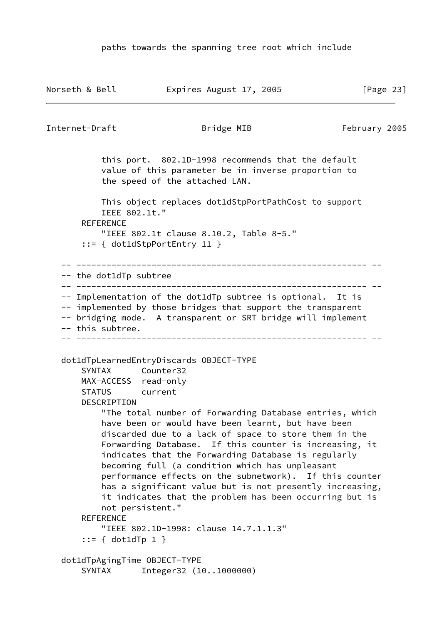Norseth & Bell **Expires August 17, 2005** [Page 23] Internet-Draft **Bridge MIB** February 2005 this port. 802.1D-1998 recommends that the default value of this parameter be in inverse proportion to the speed of the attached LAN. This object replaces dot1dStpPortPathCost to support IEEE 802.1t." REFERENCE "IEEE 802.1t clause 8.10.2, Table 8-5." ::= { dot1dStpPortEntry 11 } -- ---------------------------------------------------------- -- -- the dot1dTp subtree -- ---------------------------------------------------------- -- -- Implementation of the dot1dTp subtree is optional. It is -- implemented by those bridges that support the transparent -- bridging mode. A transparent or SRT bridge will implement -- this subtree. -- ---------------------------------------------------------- - dot1dTpLearnedEntryDiscards OBJECT-TYPE SYNTAX Counter32 MAX-ACCESS read-only STATUS current DESCRIPTION "The total number of Forwarding Database entries, which have been or would have been learnt, but have been discarded due to a lack of space to store them in the Forwarding Database. If this counter is increasing, it indicates that the Forwarding Database is regularly becoming full (a condition which has unpleasant performance effects on the subnetwork). If this counter has a significant value but is not presently increasing, it indicates that the problem has been occurring but is not persistent." **REFERENCE**  "IEEE 802.1D-1998: clause 14.7.1.1.3" ::=  $\{ dot1dTp 1 \}$  dot1dTpAgingTime OBJECT-TYPE SYNTAX Integer32 (10..1000000)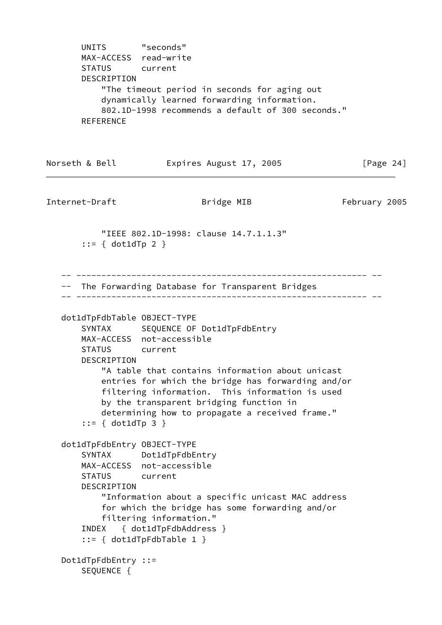UNITS "seconds" MAX-ACCESS read-write STATUS current DESCRIPTION "The timeout period in seconds for aging out dynamically learned forwarding information. 802.1D-1998 recommends a default of 300 seconds." **REFERENCE** Norseth & Bell **Expires August 17, 2005** [Page 24] Internet-Draft **Example 2005** Bridge MIB February 2005 "IEEE 802.1D-1998: clause 14.7.1.1.3"  $::=$  { dot1dTp 2 } -- ---------------------------------------------------------- -- -- The Forwarding Database for Transparent Bridges -- ---------------------------------------------------------- - dot1dTpFdbTable OBJECT-TYPE SYNTAX SEQUENCE OF Dot1dTpFdbEntry MAX-ACCESS not-accessible STATUS current DESCRIPTION "A table that contains information about unicast entries for which the bridge has forwarding and/or filtering information. This information is used by the transparent bridging function in determining how to propagate a received frame." ::= { dot1dTp 3 } dot1dTpFdbEntry OBJECT-TYPE SYNTAX Dot1dTpFdbEntry MAX-ACCESS not-accessible STATUS current DESCRIPTION "Information about a specific unicast MAC address for which the bridge has some forwarding and/or filtering information." INDEX { dot1dTpFdbAddress } ::= { dot1dTpFdbTable 1 } Dot1dTpFdbEntry ::= SEQUENCE {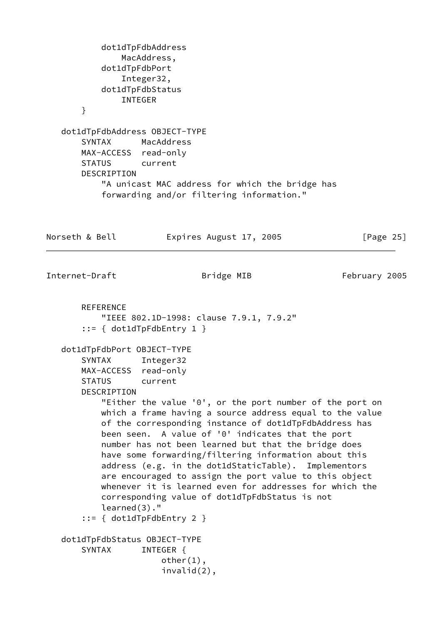```
 dot1dTpFdbAddress
               MacAddress,
           dot1dTpFdbPort
               Integer32,
           dot1dTpFdbStatus
               INTEGER
       }
   dot1dTpFdbAddress OBJECT-TYPE
       SYNTAX MacAddress
       MAX-ACCESS read-only
       STATUS current
       DESCRIPTION
           "A unicast MAC address for which the bridge has
           forwarding and/or filtering information."
Norseth & Bell Expires August 17, 2005 [Page 25]
Internet-Draft Bridge MIB February 2005
       REFERENCE
           "IEEE 802.1D-1998: clause 7.9.1, 7.9.2"
        ::= { dot1dTpFdbEntry 1 }
   dot1dTpFdbPort OBJECT-TYPE
       SYNTAX Integer32
       MAX-ACCESS read-only
       STATUS current
       DESCRIPTION
           "Either the value '0', or the port number of the port on
           which a frame having a source address equal to the value
           of the corresponding instance of dot1dTpFdbAddress has
           been seen. A value of '0' indicates that the port
           number has not been learned but that the bridge does
           have some forwarding/filtering information about this
           address (e.g. in the dot1dStaticTable). Implementors
           are encouraged to assign the port value to this object
           whenever it is learned even for addresses for which the
           corresponding value of dot1dTpFdbStatus is not
           learned(3)."
        ::= { dot1dTpFdbEntry 2 }
   dot1dTpFdbStatus OBJECT-TYPE
      SYNTAX INTEGER {
                       other(1),
                       invalid(2),
```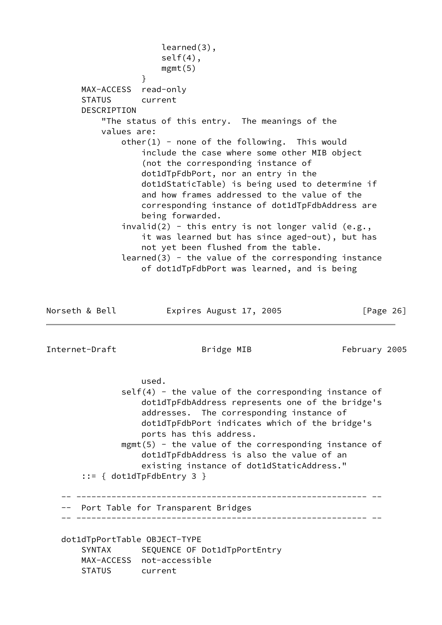learned(3), self(4), mgmt(5) } MAX-ACCESS read-only STATUS current DESCRIPTION "The status of this entry. The meanings of the values are:  $other(1)$  - none of the following. This would include the case where some other MIB object (not the corresponding instance of dot1dTpFdbPort, nor an entry in the dot1dStaticTable) is being used to determine if and how frames addressed to the value of the corresponding instance of dot1dTpFdbAddress are being forwarded.  $invald(2)$  - this entry is not longer valid (e.g., it was learned but has since aged-out), but has not yet been flushed from the table.  $learned(3)$  - the value of the corresponding instance of dot1dTpFdbPort was learned, and is being Norseth & Bell **Expires August 17, 2005** [Page 26] Internet-Draft **Bridge MIB** February 2005 used.  $self(4)$  - the value of the corresponding instance of dot1dTpFdbAddress represents one of the bridge's addresses. The corresponding instance of dot1dTpFdbPort indicates which of the bridge's ports has this address. mgmt(5) - the value of the corresponding instance of dot1dTpFdbAddress is also the value of an existing instance of dot1dStaticAddress." ::= { dot1dTpFdbEntry 3 } -- ---------------------------------------------------------- -- -- Port Table for Transparent Bridges -- ---------------------------------------------------------- - dot1dTpPortTable OBJECT-TYPE

 SYNTAX SEQUENCE OF Dot1dTpPortEntry MAX-ACCESS not-accessible STATUS current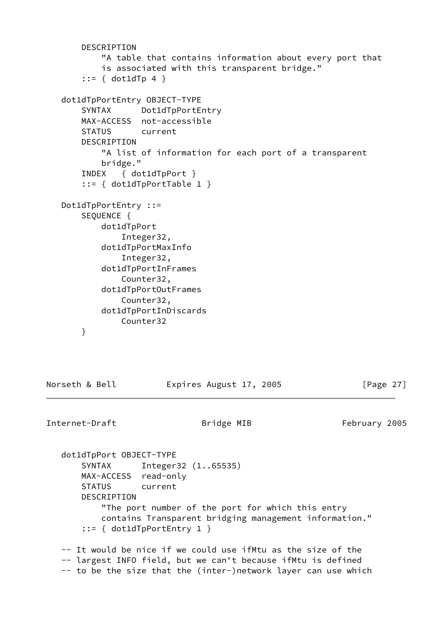```
 DESCRIPTION
         "A table that contains information about every port that
         is associated with this transparent bridge."
     ::= { dot1dTp 4 }
 dot1dTpPortEntry OBJECT-TYPE
     SYNTAX Dot1dTpPortEntry
     MAX-ACCESS not-accessible
     STATUS current
    DESCRIPTION
         "A list of information for each port of a transparent
         bridge."
     INDEX { dot1dTpPort }
     ::= { dot1dTpPortTable 1 }
 Dot1dTpPortEntry ::=
     SEQUENCE {
         dot1dTpPort
             Integer32,
         dot1dTpPortMaxInfo
             Integer32,
         dot1dTpPortInFrames
             Counter32,
         dot1dTpPortOutFrames
             Counter32,
         dot1dTpPortInDiscards
             Counter32
     }
```
Norseth & Bell **Expires August 17, 2005** [Page 27]

```
Internet-Draft Bridge MIB February 2005
```
 dot1dTpPort OBJECT-TYPE SYNTAX Integer32 (1..65535) MAX-ACCESS read-only STATUS current DESCRIPTION "The port number of the port for which this entry contains Transparent bridging management information." ::= { dot1dTpPortEntry 1 } -- It would be nice if we could use ifMtu as the size of the

 -- largest INFO field, but we can't because ifMtu is defined -- to be the size that the (inter-)network layer can use which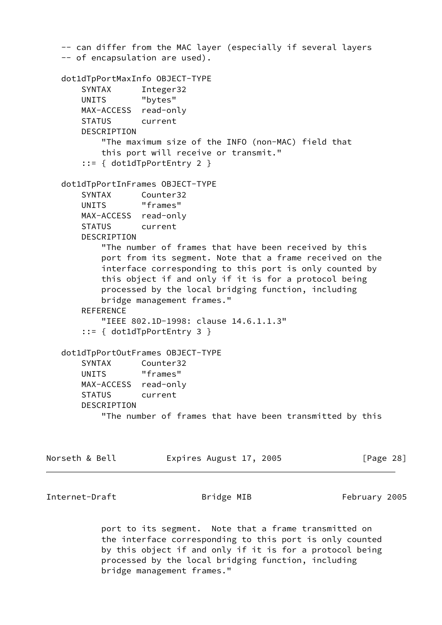```
 -- can differ from the MAC layer (especially if several layers
 -- of encapsulation are used).
 dot1dTpPortMaxInfo OBJECT-TYPE
    SYNTAX Integer32
    UNITS "bytes"
    MAX-ACCESS read-only
    STATUS current
    DESCRIPTION
         "The maximum size of the INFO (non-MAC) field that
         this port will receive or transmit."
     ::= { dot1dTpPortEntry 2 }
 dot1dTpPortInFrames OBJECT-TYPE
    SYNTAX Counter32
   UNITS "frames"
    MAX-ACCESS read-only
    STATUS current
    DESCRIPTION
         "The number of frames that have been received by this
         port from its segment. Note that a frame received on the
         interface corresponding to this port is only counted by
         this object if and only if it is for a protocol being
         processed by the local bridging function, including
         bridge management frames."
   REFERENCE
         "IEEE 802.1D-1998: clause 14.6.1.1.3"
     ::= { dot1dTpPortEntry 3 }
 dot1dTpPortOutFrames OBJECT-TYPE
    SYNTAX Counter32
   UNITS "frames"
    MAX-ACCESS read-only
    STATUS current
    DESCRIPTION
         "The number of frames that have been transmitted by this
```

```
Norseth & Bell                 Expires August 17, 2005                   [Page 28]
```
Internet-Draft Bridge MIB February 2005

 port to its segment. Note that a frame transmitted on the interface corresponding to this port is only counted by this object if and only if it is for a protocol being processed by the local bridging function, including bridge management frames."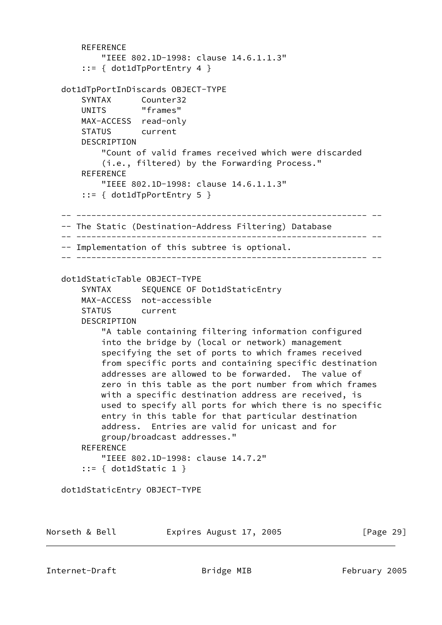```
REFERENCE
         "IEEE 802.1D-1998: clause 14.6.1.1.3"
     ::= { dot1dTpPortEntry 4 }
 dot1dTpPortInDiscards OBJECT-TYPE
     SYNTAX Counter32
     UNITS "frames"
     MAX-ACCESS read-only
     STATUS current
    DESCRIPTION
         "Count of valid frames received which were discarded
         (i.e., filtered) by the Forwarding Process."
     REFERENCE
         "IEEE 802.1D-1998: clause 14.6.1.1.3"
     ::= { dot1dTpPortEntry 5 }
 -- ---------------------------------------------------------- --
 -- The Static (Destination-Address Filtering) Database
 -- ---------------------------------------------------------- --
 -- Implementation of this subtree is optional.
 -- ---------------------------------------------------------- --
 dot1dStaticTable OBJECT-TYPE
    SYNTAX SEQUENCE OF Dot1dStaticEntry
     MAX-ACCESS not-accessible
     STATUS current
     DESCRIPTION
         "A table containing filtering information configured
         into the bridge by (local or network) management
         specifying the set of ports to which frames received
         from specific ports and containing specific destination
         addresses are allowed to be forwarded. The value of
         zero in this table as the port number from which frames
         with a specific destination address are received, is
         used to specify all ports for which there is no specific
         entry in this table for that particular destination
         address. Entries are valid for unicast and for
         group/broadcast addresses."
    REFERENCE
         "IEEE 802.1D-1998: clause 14.7.2"
     ::= { dot1dStatic 1 }
 dot1dStaticEntry OBJECT-TYPE
```
Norseth & Bell **Expires August 17, 2005** [Page 29]

Internet-Draft **Bridge MIB** February 2005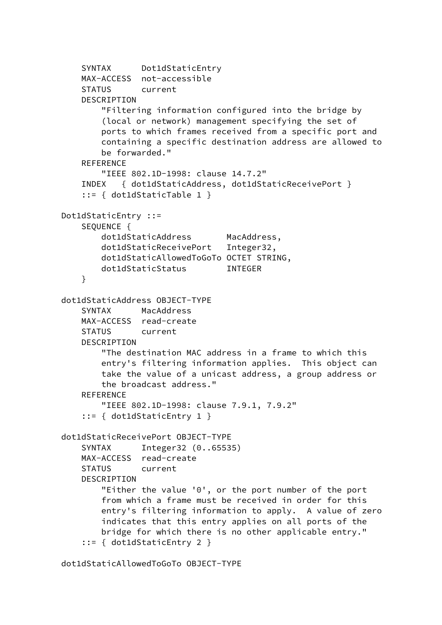```
 SYNTAX Dot1dStaticEntry
     MAX-ACCESS not-accessible
     STATUS current
     DESCRIPTION
         "Filtering information configured into the bridge by
         (local or network) management specifying the set of
         ports to which frames received from a specific port and
         containing a specific destination address are allowed to
         be forwarded."
    REFERENCE
         "IEEE 802.1D-1998: clause 14.7.2"
     INDEX { dot1dStaticAddress, dot1dStaticReceivePort }
     ::= { dot1dStaticTable 1 }
 Dot1dStaticEntry ::=
     SEQUENCE {
        dot1dStaticAddress MacAddress,
         dot1dStaticReceivePort Integer32,
         dot1dStaticAllowedToGoTo OCTET STRING,
        dot1dStaticStatus INTEGER
     }
 dot1dStaticAddress OBJECT-TYPE
     SYNTAX MacAddress
     MAX-ACCESS read-create
     STATUS current
     DESCRIPTION
         "The destination MAC address in a frame to which this
         entry's filtering information applies. This object can
         take the value of a unicast address, a group address or
         the broadcast address."
     REFERENCE
         "IEEE 802.1D-1998: clause 7.9.1, 7.9.2"
     ::= { dot1dStaticEntry 1 }
 dot1dStaticReceivePort OBJECT-TYPE
     SYNTAX Integer32 (0..65535)
     MAX-ACCESS read-create
     STATUS current
     DESCRIPTION
         "Either the value '0', or the port number of the port
         from which a frame must be received in order for this
         entry's filtering information to apply. A value of zero
         indicates that this entry applies on all ports of the
         bridge for which there is no other applicable entry."
     ::= { dot1dStaticEntry 2 }
```
dot1dStaticAllowedToGoTo OBJECT-TYPE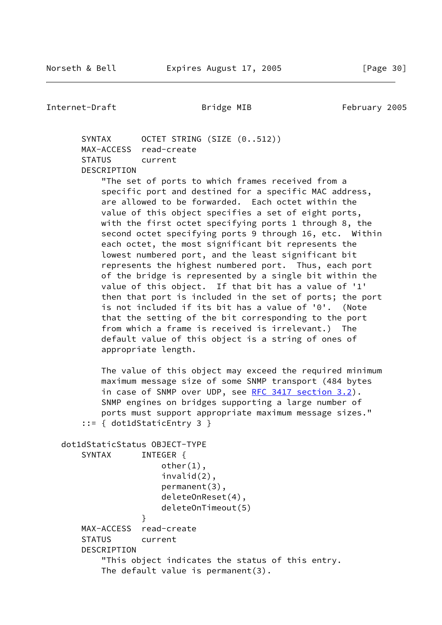SYNTAX OCTET STRING (SIZE (0..512)) MAX-ACCESS read-create STATUS current DESCRIPTION "The set of ports to which frames received from a specific port and destined for a specific MAC address, are allowed to be forwarded. Each octet within the value of this object specifies a set of eight ports, with the first octet specifying ports 1 through 8, the second octet specifying ports 9 through 16, etc. Within each octet, the most significant bit represents the lowest numbered port, and the least significant bit represents the highest numbered port. Thus, each port of the bridge is represented by a single bit within the value of this object. If that bit has a value of '1' then that port is included in the set of ports; the port is not included if its bit has a value of '0'. (Note that the setting of the bit corresponding to the port from which a frame is received is irrelevant.) The default value of this object is a string of ones of appropriate length.

 The value of this object may exceed the required minimum maximum message size of some SNMP transport (484 bytes in case of SNMP over UDP, see [RFC 3417 section](https://datatracker.ietf.org/doc/pdf/rfc3417#section-3.2) 3.2). SNMP engines on bridges supporting a large number of ports must support appropriate maximum message sizes." ::= { dot1dStaticEntry 3 }

```
 dot1dStaticStatus OBJECT-TYPE
      SYNTAX INTEGER {
                      other(1),
                       invalid(2),
                      permanent(3),
                      deleteOnReset(4),
                      deleteOnTimeout(5)
 }
       MAX-ACCESS read-create
       STATUS current
       DESCRIPTION
           "This object indicates the status of this entry.
           The default value is permanent(3).
```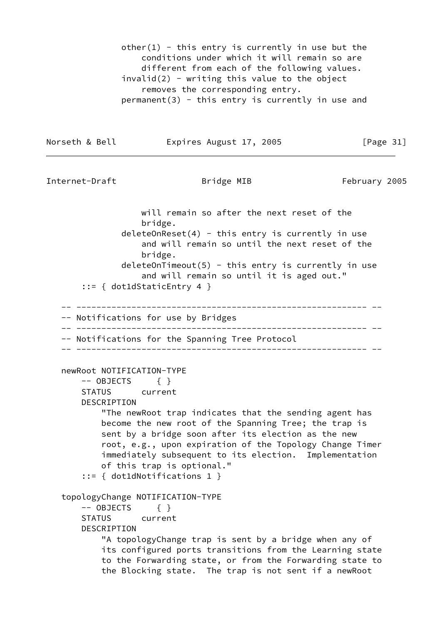other(1) - this entry is currently in use but the conditions under which it will remain so are different from each of the following values.  $invald(2)$  - writing this value to the object removes the corresponding entry.  $permanent(3)$  - this entry is currently in use and

Norseth & Bell **Expires August 17, 2005** [Page 31]

```
Internet-Draft Bridge MIB February 2005
```
 will remain so after the next reset of the bridge.  $deleteOnRest(4) - this entry is currently in use$  and will remain so until the next reset of the bridge.  $deleqOnTimeout(5)$  - this entry is currently in use and will remain so until it is aged out." ::= { dot1dStaticEntry 4 } -- ---------------------------------------------------------- -- -- Notifications for use by Bridges -- ---------------------------------------------------------- -- -- Notifications for the Spanning Tree Protocol -- ---------------------------------------------------------- - newRoot NOTIFICATION-TYPE  $--$  OBJECTS  $\{ \}$  STATUS current DESCRIPTION "The newRoot trap indicates that the sending agent has become the new root of the Spanning Tree; the trap is sent by a bridge soon after its election as the new root, e.g., upon expiration of the Topology Change Timer immediately subsequent to its election. Implementation of this trap is optional." ::= { dot1dNotifications 1 } topologyChange NOTIFICATION-TYPE -- OBJECTS { } STATUS current DESCRIPTION "A topologyChange trap is sent by a bridge when any of its configured ports transitions from the Learning state to the Forwarding state, or from the Forwarding state to the Blocking state. The trap is not sent if a newRoot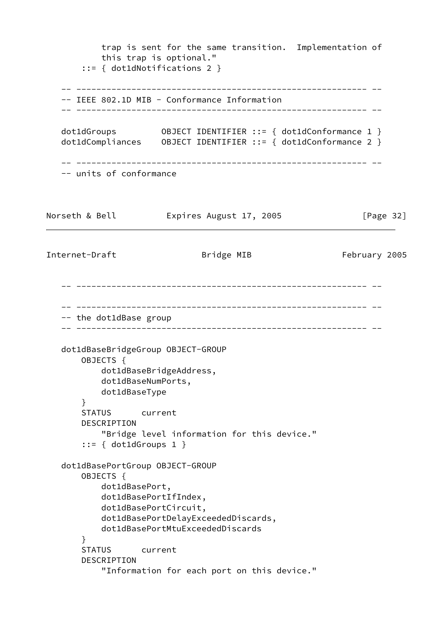trap is sent for the same transition. Implementation of this trap is optional." ::= { dot1dNotifications 2 } -- ---------------------------------------------------------- -- -- IEEE 802.1D MIB - Conformance Information -- ---------------------------------------------------------- - dot1dGroups 0BJECT IDENTIFIER ::= { dot1dConformance 1 } dot1dCompliances OBJECT IDENTIFIER ::= { dot1dConformance 2 } -- ---------------------------------------------------------- -- -- units of conformance Norseth & Bell **Expires August 17, 2005** [Page 32] Internet-Draft **Bridge MIB** February 2005 -- ---------------------------------------------------------- -- -- ---------------------------------------------------------- -- -- the dot1dBase group -- ---------------------------------------------------------- - dot1dBaseBridgeGroup OBJECT-GROUP OBJECTS { dot1dBaseBridgeAddress, dot1dBaseNumPorts, dot1dBaseType } STATUS current DESCRIPTION "Bridge level information for this device." ::= { dot1dGroups 1 } dot1dBasePortGroup OBJECT-GROUP OBJECTS { dot1dBasePort, dot1dBasePortIfIndex, dot1dBasePortCircuit, dot1dBasePortDelayExceededDiscards, dot1dBasePortMtuExceededDiscards } STATUS current DESCRIPTION "Information for each port on this device."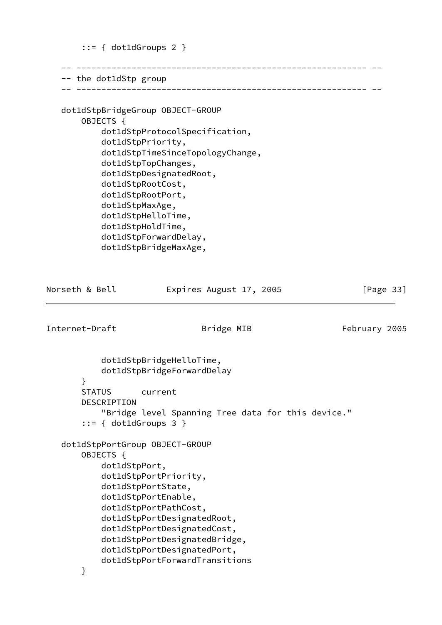```
::= { dot1dGroups 2 }
    -- ---------------------------------------------------------- --
   -- the dot1dStp group
    -- ---------------------------------------------------------- --
    dot1dStpBridgeGroup OBJECT-GROUP
        OBJECTS {
            dot1dStpProtocolSpecification,
            dot1dStpPriority,
            dot1dStpTimeSinceTopologyChange,
            dot1dStpTopChanges,
            dot1dStpDesignatedRoot,
            dot1dStpRootCost,
            dot1dStpRootPort,
            dot1dStpMaxAge,
            dot1dStpHelloTime,
            dot1dStpHoldTime,
            dot1dStpForwardDelay,
            dot1dStpBridgeMaxAge,
Norseth & Bell Expires August 17, 2005 [Page 33]
Internet-Draft Bridge MIB February 2005
            dot1dStpBridgeHelloTime,
            dot1dStpBridgeForwardDelay
        }
        STATUS current
        DESCRIPTION
            "Bridge level Spanning Tree data for this device."
        ::= { dot1dGroups 3 }
    dot1dStpPortGroup OBJECT-GROUP
        OBJECTS {
            dot1dStpPort,
            dot1dStpPortPriority,
            dot1dStpPortState,
            dot1dStpPortEnable,
            dot1dStpPortPathCost,
            dot1dStpPortDesignatedRoot,
            dot1dStpPortDesignatedCost,
            dot1dStpPortDesignatedBridge,
            dot1dStpPortDesignatedPort,
            dot1dStpPortForwardTransitions
        }
```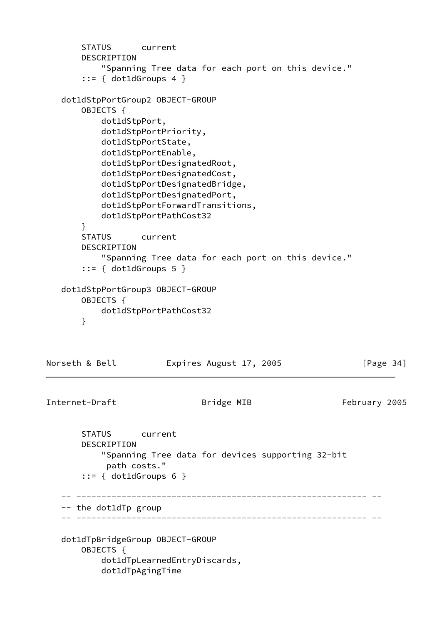```
 STATUS current
       DESCRIPTION
           "Spanning Tree data for each port on this device."
       ::= \{ dot1dGroups 4 \} dot1dStpPortGroup2 OBJECT-GROUP
       OBJECTS {
           dot1dStpPort,
           dot1dStpPortPriority,
           dot1dStpPortState,
           dot1dStpPortEnable,
           dot1dStpPortDesignatedRoot,
           dot1dStpPortDesignatedCost,
           dot1dStpPortDesignatedBridge,
           dot1dStpPortDesignatedPort,
           dot1dStpPortForwardTransitions,
           dot1dStpPortPathCost32
       }
       STATUS current
       DESCRIPTION
           "Spanning Tree data for each port on this device."
        ::= { dot1dGroups 5 }
   dot1dStpPortGroup3 OBJECT-GROUP
       OBJECTS {
           dot1dStpPortPathCost32
       }
Norseth & Bell Expires August 17, 2005 [Page 34]
Internet-Draft Bridge MIB February 2005
       STATUS current
       DESCRIPTION
           "Spanning Tree data for devices supporting 32-bit
            path costs."
        ::= { dot1dGroups 6 }
    -- ---------------------------------------------------------- --
    -- the dot1dTp group
    -- ---------------------------------------------------------- --
   dot1dTpBridgeGroup OBJECT-GROUP
       OBJECTS {
```
 dot1dTpLearnedEntryDiscards, dot1dTpAgingTime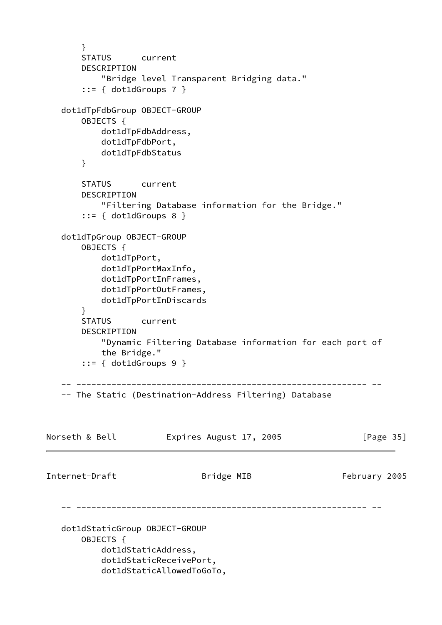```
 }
       STATUS current
       DESCRIPTION
           "Bridge level Transparent Bridging data."
        ::= { dot1dGroups 7 }
   dot1dTpFdbGroup OBJECT-GROUP
       OBJECTS {
           dot1dTpFdbAddress,
           dot1dTpFdbPort,
           dot1dTpFdbStatus
       }
       STATUS current
       DESCRIPTION
           "Filtering Database information for the Bridge."
        ::= { dot1dGroups 8 }
   dot1dTpGroup OBJECT-GROUP
       OBJECTS {
           dot1dTpPort,
           dot1dTpPortMaxInfo,
           dot1dTpPortInFrames,
           dot1dTpPortOutFrames,
           dot1dTpPortInDiscards
       }
       STATUS current
       DESCRIPTION
           "Dynamic Filtering Database information for each port of
           the Bridge."
        ::= { dot1dGroups 9 }
     -- ---------------------------------------------------------- --
    -- The Static (Destination-Address Filtering) Database
Norseth & Bell Expires August 17, 2005 [Page 35]
Internet-Draft Bridge MIB February 2005
     -- ---------------------------------------------------------- --
   dot1dStaticGroup OBJECT-GROUP
       OBJECTS {
           dot1dStaticAddress,
           dot1dStaticReceivePort,
           dot1dStaticAllowedToGoTo,
```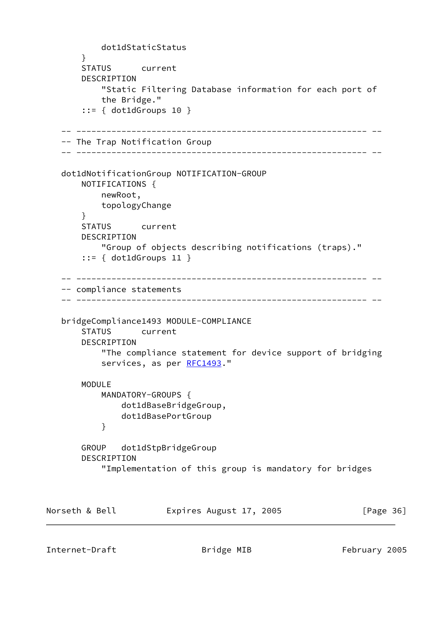```
 dot1dStaticStatus
       }
       STATUS current
       DESCRIPTION
            "Static Filtering Database information for each port of
            the Bridge."
        ::= { dot1dGroups 10 }
    -- ---------------------------------------------------------- --
    -- The Trap Notification Group
    -- ---------------------------------------------------------- --
   dot1dNotificationGroup NOTIFICATION-GROUP
       NOTIFICATIONS {
           newRoot,
           topologyChange
       }
       STATUS current
       DESCRIPTION
            "Group of objects describing notifications (traps)."
        ::= { dot1dGroups 11 }
    -- ---------------------------------------------------------- --
    -- compliance statements
    -- ---------------------------------------------------------- --
   bridgeCompliance1493 MODULE-COMPLIANCE
       STATUS current
       DESCRIPTION
            "The compliance statement for device support of bridging
            RFC1493."
       MODULE
           MANDATORY-GROUPS {
               dot1dBaseBridgeGroup,
               dot1dBasePortGroup
 }
       GROUP dot1dStpBridgeGroup
       DESCRIPTION
            "Implementation of this group is mandatory for bridges
Norseth & Bell Expires August 17, 2005 [Page 36]
```
Internet-Draft **Bridge MIB** February 2005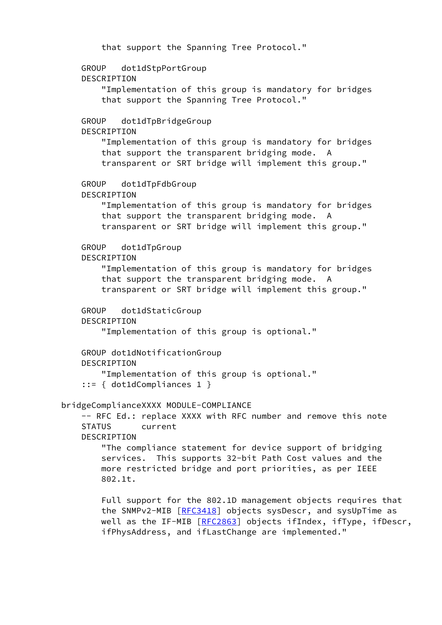```
 that support the Spanning Tree Protocol."
     GROUP dot1dStpPortGroup
     DESCRIPTION
         "Implementation of this group is mandatory for bridges
         that support the Spanning Tree Protocol."
     GROUP dot1dTpBridgeGroup
     DESCRIPTION
         "Implementation of this group is mandatory for bridges
         that support the transparent bridging mode. A
         transparent or SRT bridge will implement this group."
     GROUP dot1dTpFdbGroup
     DESCRIPTION
         "Implementation of this group is mandatory for bridges
         that support the transparent bridging mode. A
         transparent or SRT bridge will implement this group."
     GROUP dot1dTpGroup
     DESCRIPTION
         "Implementation of this group is mandatory for bridges
         that support the transparent bridging mode. A
         transparent or SRT bridge will implement this group."
     GROUP dot1dStaticGroup
     DESCRIPTION
         "Implementation of this group is optional."
     GROUP dot1dNotificationGroup
     DESCRIPTION
         "Implementation of this group is optional."
     ::= { dot1dCompliances 1 }
 bridgeComplianceXXXX MODULE-COMPLIANCE
    -- RFC Ed.: replace XXXX with RFC number and remove this note
     STATUS current
     DESCRIPTION
         "The compliance statement for device support of bridging
         services. This supports 32-bit Path Cost values and the
         more restricted bridge and port priorities, as per IEEE
         802.1t.
         Full support for the 802.1D management objects requires that
         the SNMPv2-MIB [RFC3418] objects sysDescr, and sysUpTime as
        RFC2863] objects ifIndex, ifType, ifDescr,
         ifPhysAddress, and ifLastChange are implemented."
```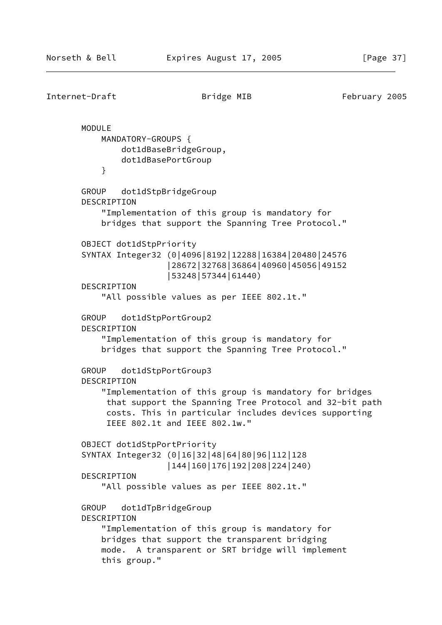```
Internet-Draft Bridge MIB February 2005
        MODULE
            MANDATORY-GROUPS {
                dot1dBaseBridgeGroup,
                dot1dBasePortGroup
 }
        GROUP dot1dStpBridgeGroup
        DESCRIPTION
            "Implementation of this group is mandatory for
            bridges that support the Spanning Tree Protocol."
        OBJECT dot1dStpPriority
        SYNTAX Integer32 (0|4096|8192|12288|16384|20480|24576
                         |28672|32768|36864|40960|45056|49152
                         |53248|57344|61440)
        DESCRIPTION
            "All possible values as per IEEE 802.1t."
        GROUP dot1dStpPortGroup2
        DESCRIPTION
            "Implementation of this group is mandatory for
            bridges that support the Spanning Tree Protocol."
        GROUP dot1dStpPortGroup3
        DESCRIPTION
            "Implementation of this group is mandatory for bridges
             that support the Spanning Tree Protocol and 32-bit path
             costs. This in particular includes devices supporting
             IEEE 802.1t and IEEE 802.1w."
        OBJECT dot1dStpPortPriority
        SYNTAX Integer32 (0|16|32|48|64|80|96|112|128
                         |144|160|176|192|208|224|240)
        DESCRIPTION
            "All possible values as per IEEE 802.1t."
        GROUP dot1dTpBridgeGroup
        DESCRIPTION
            "Implementation of this group is mandatory for
            bridges that support the transparent bridging
            mode. A transparent or SRT bridge will implement
            this group."
```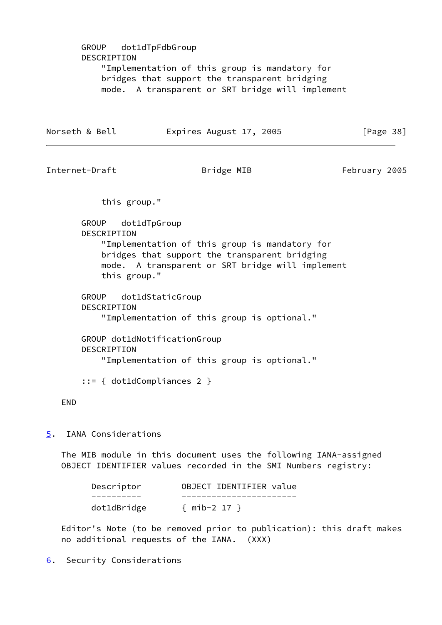<span id="page-43-1"></span>

| GROUP dot1dTpFdbGroup<br>DESCRIPTION<br>"Implementation of this group is mandatory for<br>bridges that support the transparent bridging<br>mode. A transparent or SRT bridge will implement |                                                   |                                                                                                                                                     |               |  |
|---------------------------------------------------------------------------------------------------------------------------------------------------------------------------------------------|---------------------------------------------------|-----------------------------------------------------------------------------------------------------------------------------------------------------|---------------|--|
|                                                                                                                                                                                             | Norseth & Bell                                    | Expires August 17, 2005                                                                                                                             | [Page $38$ ]  |  |
|                                                                                                                                                                                             | Internet-Draft                                    | Bridge MIB                                                                                                                                          | February 2005 |  |
|                                                                                                                                                                                             | this group."                                      |                                                                                                                                                     |               |  |
|                                                                                                                                                                                             | GROUP dot1dTpGroup<br>DESCRIPTION<br>this group." | "Implementation of this group is mandatory for<br>bridges that support the transparent bridging<br>mode. A transparent or SRT bridge will implement |               |  |
|                                                                                                                                                                                             | GROUP<br>DESCRIPTION                              | dot1dStaticGroup<br>"Implementation of this group is optional."                                                                                     |               |  |
|                                                                                                                                                                                             | <b>DESCRIPTION</b>                                | GROUP dot1dNotificationGroup<br>"Implementation of this group is optional."                                                                         |               |  |
|                                                                                                                                                                                             |                                                   | $::= \{ dot1dCompliances 2 \}$                                                                                                                      |               |  |
| <b>END</b>                                                                                                                                                                                  |                                                   |                                                                                                                                                     |               |  |
| $\overline{5}$ .                                                                                                                                                                            | IANA Considerations                               |                                                                                                                                                     |               |  |
|                                                                                                                                                                                             |                                                   | The MIB module in this document uses the following IANA-assigned<br>OBJECT IDENTIFIER values recorded in the SMI Numbers registry:                  |               |  |
|                                                                                                                                                                                             | Descriptor                                        | OBJECT IDENTIFIER value                                                                                                                             |               |  |
|                                                                                                                                                                                             | dot1dBridge                                       | ${min-2 17}$                                                                                                                                        |               |  |

<span id="page-43-0"></span> Editor's Note (to be removed prior to publication): this draft makes no additional requests of the IANA. (XXX)

<span id="page-43-2"></span>[6](#page-43-2). Security Considerations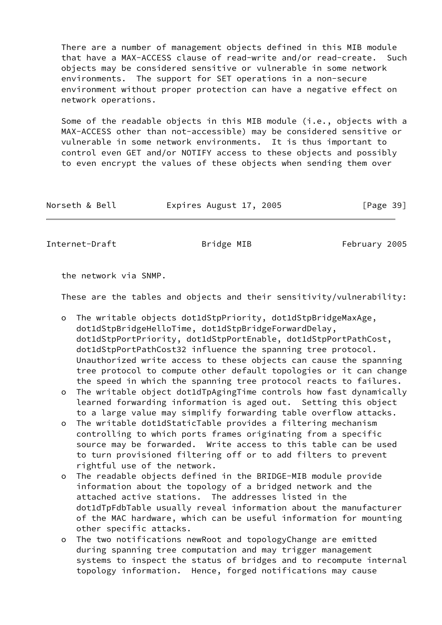There are a number of management objects defined in this MIB module that have a MAX-ACCESS clause of read-write and/or read-create. Such objects may be considered sensitive or vulnerable in some network environments. The support for SET operations in a non-secure environment without proper protection can have a negative effect on network operations.

 Some of the readable objects in this MIB module (i.e., objects with a MAX-ACCESS other than not-accessible) may be considered sensitive or vulnerable in some network environments. It is thus important to control even GET and/or NOTIFY access to these objects and possibly to even encrypt the values of these objects when sending them over

| Expires August 17, 2005<br>Norseth & Bell | [Page 39] |
|-------------------------------------------|-----------|
|-------------------------------------------|-----------|

Internet-Draft **Bridge MIB** February 2005

the network via SNMP.

These are the tables and objects and their sensitivity/vulnerability:

- o The writable objects dot1dStpPriority, dot1dStpBridgeMaxAge, dot1dStpBridgeHelloTime, dot1dStpBridgeForwardDelay, dot1dStpPortPriority, dot1dStpPortEnable, dot1dStpPortPathCost, dot1dStpPortPathCost32 influence the spanning tree protocol. Unauthorized write access to these objects can cause the spanning tree protocol to compute other default topologies or it can change the speed in which the spanning tree protocol reacts to failures.
- o The writable object dot1dTpAgingTime controls how fast dynamically learned forwarding information is aged out. Setting this object to a large value may simplify forwarding table overflow attacks.
- o The writable dot1dStaticTable provides a filtering mechanism controlling to which ports frames originating from a specific source may be forwarded. Write access to this table can be used to turn provisioned filtering off or to add filters to prevent rightful use of the network.
- o The readable objects defined in the BRIDGE-MIB module provide information about the topology of a bridged network and the attached active stations. The addresses listed in the dot1dTpFdbTable usually reveal information about the manufacturer of the MAC hardware, which can be useful information for mounting other specific attacks.
- o The two notifications newRoot and topologyChange are emitted during spanning tree computation and may trigger management systems to inspect the status of bridges and to recompute internal topology information. Hence, forged notifications may cause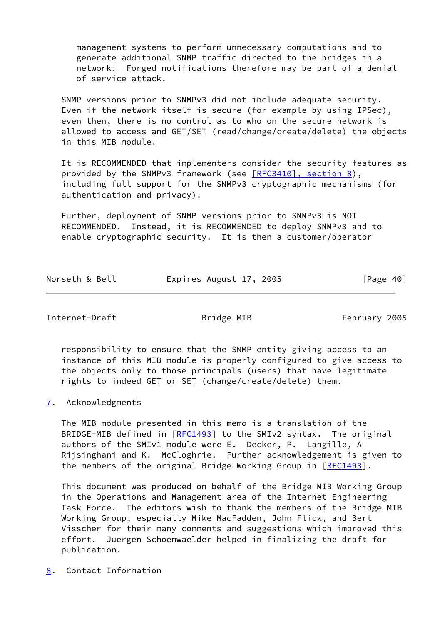management systems to perform unnecessary computations and to generate additional SNMP traffic directed to the bridges in a network. Forged notifications therefore may be part of a denial of service attack.

 SNMP versions prior to SNMPv3 did not include adequate security. Even if the network itself is secure (for example by using IPSec), even then, there is no control as to who on the secure network is allowed to access and GET/SET (read/change/create/delete) the objects in this MIB module.

 It is RECOMMENDED that implementers consider the security features as provided by the SNMPv3 framework (see [\[RFC3410\], section](https://datatracker.ietf.org/doc/pdf/rfc3410#section-8) 8), including full support for the SNMPv3 cryptographic mechanisms (for authentication and privacy).

 Further, deployment of SNMP versions prior to SNMPv3 is NOT RECOMMENDED. Instead, it is RECOMMENDED to deploy SNMPv3 and to enable cryptographic security. It is then a customer/operator

| Norseth & Bell | Expires August 17, 2005 |  | [Page 40] |  |
|----------------|-------------------------|--|-----------|--|
|                |                         |  |           |  |

<span id="page-45-1"></span>Internet-Draft **Example 2005** Bridge MIB February 2005

 responsibility to ensure that the SNMP entity giving access to an instance of this MIB module is properly configured to give access to the objects only to those principals (users) that have legitimate rights to indeed GET or SET (change/create/delete) them.

### <span id="page-45-0"></span>[7](#page-45-0). Acknowledgments

 The MIB module presented in this memo is a translation of the BRIDGE-MIB defined in [[RFC1493](https://datatracker.ietf.org/doc/pdf/rfc1493)] to the SMIv2 syntax. The original authors of the SMIv1 module were E. Decker, P. Langille, A Rijsinghani and K. McCloghrie. Further acknowledgement is given to the members of the original Bridge Working Group in [\[RFC1493](https://datatracker.ietf.org/doc/pdf/rfc1493)].

 This document was produced on behalf of the Bridge MIB Working Group in the Operations and Management area of the Internet Engineering Task Force. The editors wish to thank the members of the Bridge MIB Working Group, especially Mike MacFadden, John Flick, and Bert Visscher for their many comments and suggestions which improved this effort. Juergen Schoenwaelder helped in finalizing the draft for publication.

<span id="page-45-2"></span>[8](#page-45-2). Contact Information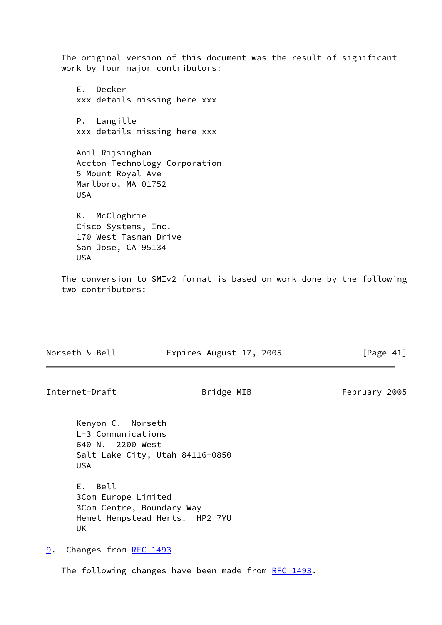The original version of this document was the result of significant work by four major contributors:

 E. Decker xxx details missing here xxx P. Langille xxx details missing here xxx

 Anil Rijsinghan Accton Technology Corporation 5 Mount Royal Ave Marlboro, MA 01752 USA

 K. McCloghrie Cisco Systems, Inc. 170 West Tasman Drive San Jose, CA 95134 USA

 The conversion to SMIv2 format is based on work done by the following two contributors:

| Norseth & Bell | Expires August 17, 2005 | [Page 41] |
|----------------|-------------------------|-----------|
|                |                         |           |

<span id="page-46-1"></span>Internet-Draft **Bridge MIB** February 2005

 Kenyon C. Norseth L-3 Communications 640 N. 2200 West Salt Lake City, Utah 84116-0850 USA

 E. Bell 3Com Europe Limited 3Com Centre, Boundary Way Hemel Hempstead Herts. HP2 7YU UK

<span id="page-46-0"></span>[9](#page-46-0). Changes from [RFC 1493](https://datatracker.ietf.org/doc/pdf/rfc1493)

The following changes have been made from [RFC 1493](https://datatracker.ietf.org/doc/pdf/rfc1493).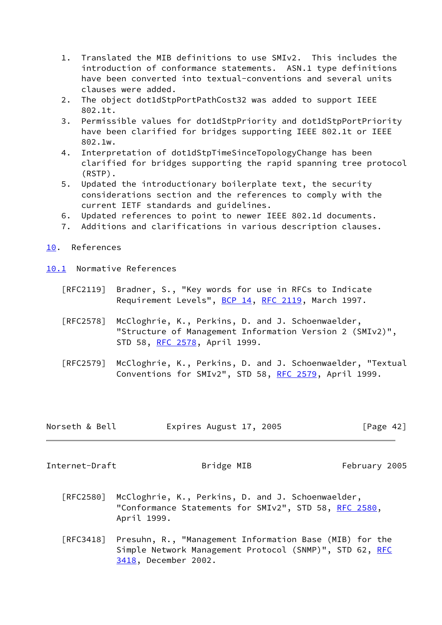- 1. Translated the MIB definitions to use SMIv2. This includes the introduction of conformance statements. ASN.1 type definitions have been converted into textual-conventions and several units clauses were added.
- 2. The object dot1dStpPortPathCost32 was added to support IEEE 802.1t.
- 3. Permissible values for dot1dStpPriority and dot1dStpPortPriority have been clarified for bridges supporting IEEE 802.1t or IEEE 802.1w.
- 4. Interpretation of dot1dStpTimeSinceTopologyChange has been clarified for bridges supporting the rapid spanning tree protocol (RSTP).
- 5. Updated the introductionary boilerplate text, the security considerations section and the references to comply with the current IETF standards and guidelines.
- 6. Updated references to point to newer IEEE 802.1d documents.
- 7. Additions and clarifications in various description clauses.
- <span id="page-47-0"></span>[10.](#page-47-0) References
- <span id="page-47-1"></span>[10.1](#page-47-1) Normative References
	- [RFC2119] Bradner, S., "Key words for use in RFCs to Indicate Requirement Levels", [BCP 14](https://datatracker.ietf.org/doc/pdf/bcp14), [RFC 2119](https://datatracker.ietf.org/doc/pdf/rfc2119), March 1997.
	- [RFC2578] McCloghrie, K., Perkins, D. and J. Schoenwaelder, "Structure of Management Information Version 2 (SMIv2)", STD 58, [RFC 2578,](https://datatracker.ietf.org/doc/pdf/rfc2578) April 1999.
	- [RFC2579] McCloghrie, K., Perkins, D. and J. Schoenwaelder, "Textual Conventions for SMIv2", STD 58, [RFC 2579,](https://datatracker.ietf.org/doc/pdf/rfc2579) April 1999.

| Norseth & Bell | Expires August 17, 2005 | [Page 42] |
|----------------|-------------------------|-----------|
|----------------|-------------------------|-----------|

<span id="page-47-2"></span>Internet-Draft **Bridge MIB** February 2005

- [RFC2580] McCloghrie, K., Perkins, D. and J. Schoenwaelder, "Conformance Statements for SMIv2", STD 58, [RFC 2580,](https://datatracker.ietf.org/doc/pdf/rfc2580) April 1999.
- [RFC3418] Presuhn, R., "Management Information Base (MIB) for the Simple Network Management Protocol (SNMP)", STD 62, [RFC](https://datatracker.ietf.org/doc/pdf/rfc3418) [3418,](https://datatracker.ietf.org/doc/pdf/rfc3418) December 2002.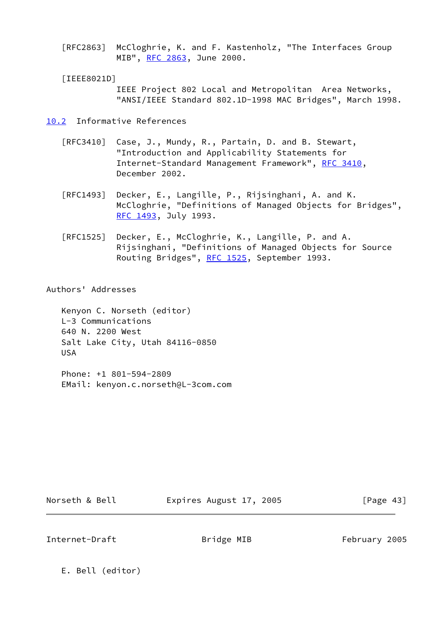[RFC2863] McCloghrie, K. and F. Kastenholz, "The Interfaces Group MIB", [RFC 2863](https://datatracker.ietf.org/doc/pdf/rfc2863), June 2000.

### <span id="page-48-1"></span>[IEEE8021D]

 IEEE Project 802 Local and Metropolitan Area Networks, "ANSI/IEEE Standard 802.1D-1998 MAC Bridges", March 1998.

<span id="page-48-0"></span>[10.2](#page-48-0) Informative References

- [RFC3410] Case, J., Mundy, R., Partain, D. and B. Stewart, "Introduction and Applicability Statements for Internet-Standard Management Framework", [RFC 3410,](https://datatracker.ietf.org/doc/pdf/rfc3410) December 2002.
- [RFC1493] Decker, E., Langille, P., Rijsinghani, A. and K. McCloghrie, "Definitions of Managed Objects for Bridges", [RFC 1493,](https://datatracker.ietf.org/doc/pdf/rfc1493) July 1993.
- [RFC1525] Decker, E., McCloghrie, K., Langille, P. and A. Rijsinghani, "Definitions of Managed Objects for Source Routing Bridges", [RFC 1525](https://datatracker.ietf.org/doc/pdf/rfc1525), September 1993.

### Authors' Addresses

 Kenyon C. Norseth (editor) L-3 Communications 640 N. 2200 West Salt Lake City, Utah 84116-0850 USA

 Phone: +1 801-594-2809 EMail: kenyon.c.norseth@L-3com.com

Norseth & Bell **Expires August 17, 2005** [Page 43]

Internet-Draft **Bridge MIB** February 2005

E. Bell (editor)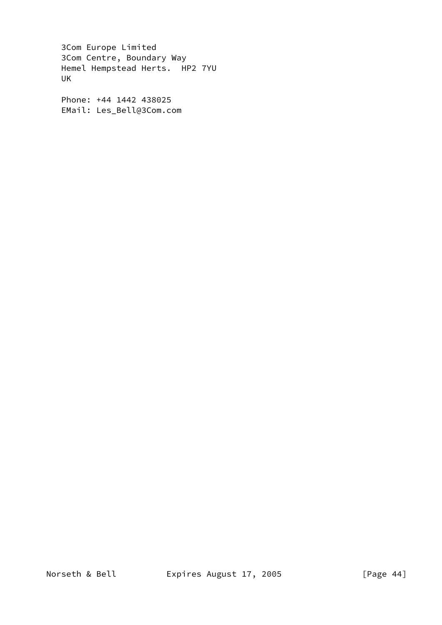3Com Europe Limited 3Com Centre, Boundary Way Hemel Hempstead Herts. HP2 7YU UK

 Phone: +44 1442 438025 EMail: Les\_Bell@3Com.com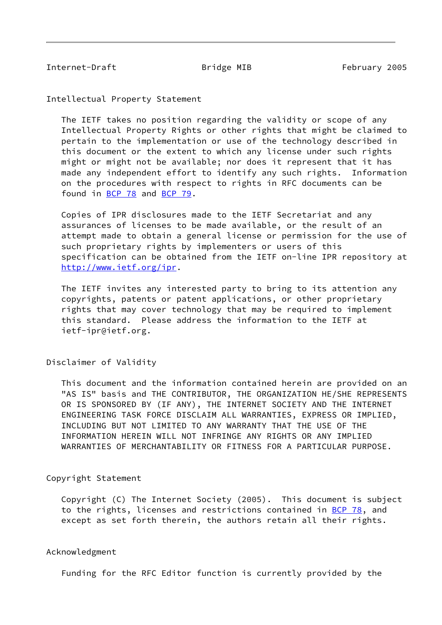<span id="page-50-0"></span>Internet-Draft **Bridge MIB** February 2005

Intellectual Property Statement

 The IETF takes no position regarding the validity or scope of any Intellectual Property Rights or other rights that might be claimed to pertain to the implementation or use of the technology described in this document or the extent to which any license under such rights might or might not be available; nor does it represent that it has made any independent effort to identify any such rights. Information on the procedures with respect to rights in RFC documents can be found in [BCP 78](https://datatracker.ietf.org/doc/pdf/bcp78) and [BCP 79](https://datatracker.ietf.org/doc/pdf/bcp79).

 Copies of IPR disclosures made to the IETF Secretariat and any assurances of licenses to be made available, or the result of an attempt made to obtain a general license or permission for the use of such proprietary rights by implementers or users of this specification can be obtained from the IETF on-line IPR repository at <http://www.ietf.org/ipr>.

 The IETF invites any interested party to bring to its attention any copyrights, patents or patent applications, or other proprietary rights that may cover technology that may be required to implement this standard. Please address the information to the IETF at ietf-ipr@ietf.org.

Disclaimer of Validity

 This document and the information contained herein are provided on an "AS IS" basis and THE CONTRIBUTOR, THE ORGANIZATION HE/SHE REPRESENTS OR IS SPONSORED BY (IF ANY), THE INTERNET SOCIETY AND THE INTERNET ENGINEERING TASK FORCE DISCLAIM ALL WARRANTIES, EXPRESS OR IMPLIED, INCLUDING BUT NOT LIMITED TO ANY WARRANTY THAT THE USE OF THE INFORMATION HEREIN WILL NOT INFRINGE ANY RIGHTS OR ANY IMPLIED WARRANTIES OF MERCHANTABILITY OR FITNESS FOR A PARTICULAR PURPOSE.

Copyright Statement

 Copyright (C) The Internet Society (2005). This document is subject to the rights, licenses and restrictions contained in [BCP 78](https://datatracker.ietf.org/doc/pdf/bcp78), and except as set forth therein, the authors retain all their rights.

### Acknowledgment

Funding for the RFC Editor function is currently provided by the